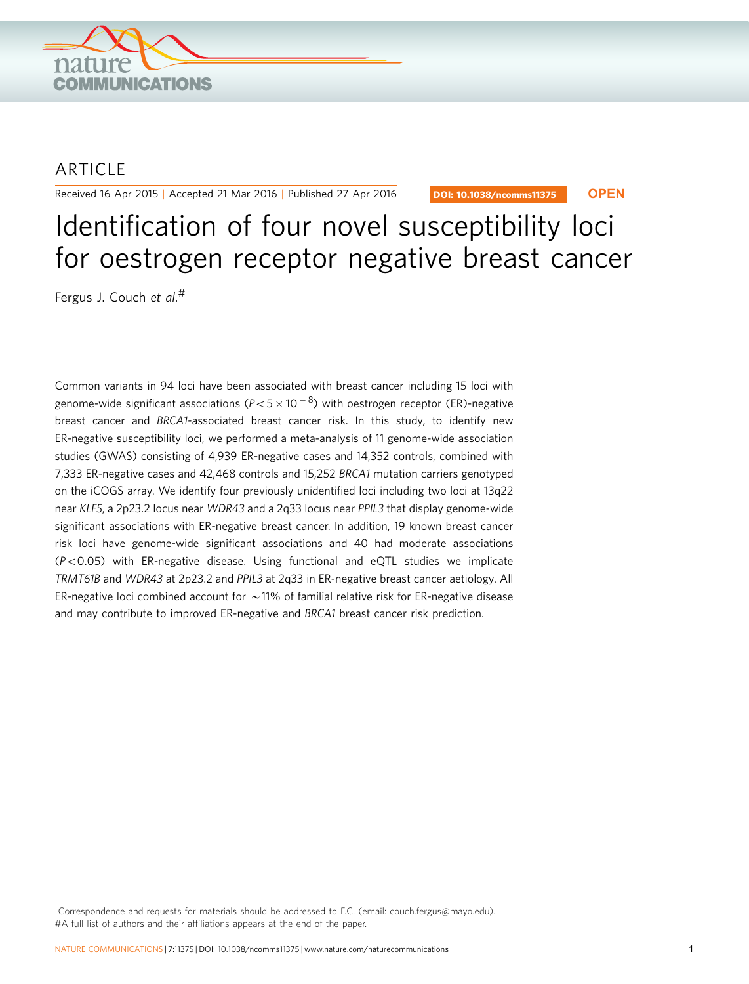

# **ARTICLE**

Received 16 Apr 2015 | Accepted 21 Mar 2016 | Published 27 Apr 2016

DOI: 10.1038/ncomms11375 **OPEN**

# Identification of four novel susceptibility loci for oestrogen receptor negative breast cancer

Fergus J. Couch et al. #

Common variants in 94 loci have been associated with breast cancer including 15 loci with genome-wide significant associations (P $<$ 5  $\times$  10  $^{-8}$ ) with oestrogen receptor (ER)-negative breast cancer and BRCA1-associated breast cancer risk. In this study, to identify new ER-negative susceptibility loci, we performed a meta-analysis of 11 genome-wide association studies (GWAS) consisting of 4,939 ER-negative cases and 14,352 controls, combined with 7,333 ER-negative cases and 42,468 controls and 15,252 BRCA1 mutation carriers genotyped on the iCOGS array. We identify four previously unidentified loci including two loci at 13q22 near KLF5, a 2p23.2 locus near WDR43 and a 2q33 locus near PPIL3 that display genome-wide significant associations with ER-negative breast cancer. In addition, 19 known breast cancer risk loci have genome-wide significant associations and 40 had moderate associations  $(P<0.05)$  with ER-negative disease. Using functional and eQTL studies we implicate TRMT61B and WDR43 at 2p23.2 and PPIL3 at 2q33 in ER-negative breast cancer aetiology. All ER-negative loci combined account for  $\sim$  11% of familial relative risk for ER-negative disease and may contribute to improved ER-negative and BRCA1 breast cancer risk prediction.

Correspondence and requests for materials should be addressed to F.C. (email: [couch.fergus@mayo.edu](mailto:couch.fergus@mayo.edu)). #A full list of authors and their affiliations appears at the end of the paper.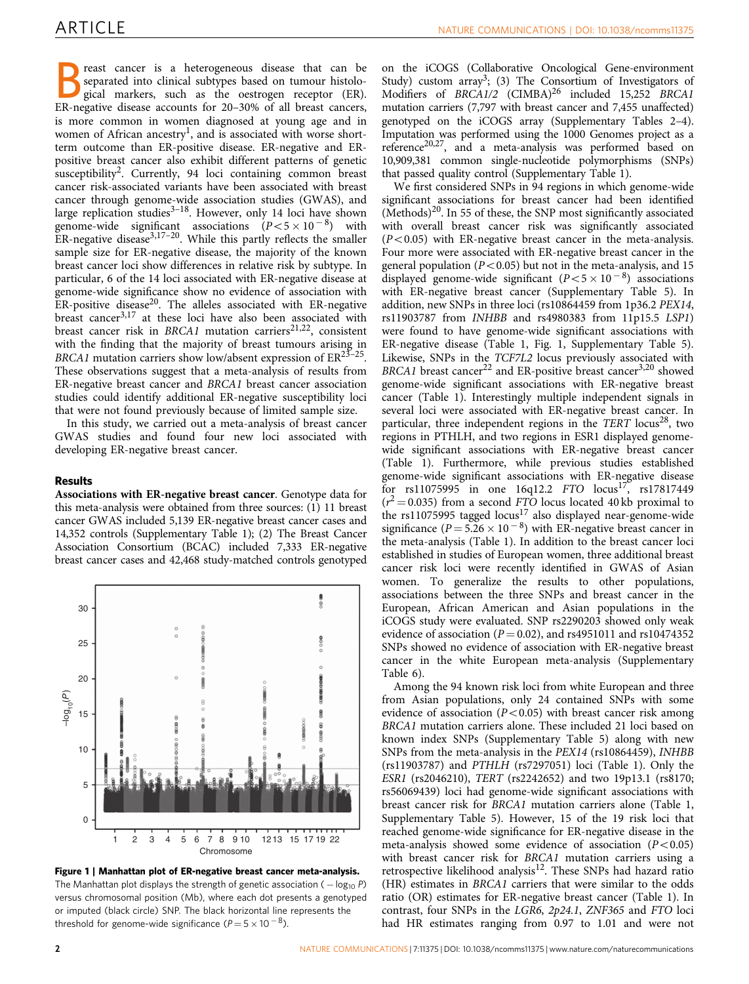Breast cancer is a heterogeneous disease that can be separated into clinical subtypes based on tumour histological markers, such as the oestrogen receptor (ER). ER-negative disease accounts for 20–30% of all breast cancers, is more common in women diagnosed at young age and in women of African ancestry<sup>[1](#page-7-0)</sup>, and is associated with worse shortterm outcome than ER-positive disease. ER-negative and ERpositive breast cancer also exhibit different patterns of genetic susceptibility<sup>[2](#page-7-0)</sup>. Currently, 94 loci containing common breast cancer risk-associated variants have been associated with breast cancer through genome-wide association studies (GWAS), and large replication studies<sup>[3–18](#page-7-0)</sup>. However, only 14 loci have shown genome-wide significant associations  $(P<5\times 10^{-8})$  with ER-negative disease<sup>3,17–20</sup>. While this partly reflects the smaller sample size for ER-negative disease, the majority of the known breast cancer loci show differences in relative risk by subtype. In particular, 6 of the 14 loci associated with ER-negative disease at genome-wide significance show no evidence of association with ER-positive disease[20.](#page-7-0) The alleles associated with ER-negative breast cancer<sup>[3,17](#page-7-0)</sup> at these loci have also been associated with breast cancer risk in  $BRCA1$  mutation carriers<sup>[21,22](#page-7-0)</sup>, consistent with the finding that the majority of breast tumours arising in BRCA1 mutation carriers show low/absent expression of  $ER^{25-25}$ . These observations suggest that a meta-analysis of results from ER-negative breast cancer and BRCA1 breast cancer association studies could identify additional ER-negative susceptibility loci that were not found previously because of limited sample size.

In this study, we carried out a meta-analysis of breast cancer GWAS studies and found four new loci associated with developing ER-negative breast cancer.

## Results

Associations with ER-negative breast cancer. Genotype data for this meta-analysis were obtained from three sources: (1) 11 breast cancer GWAS included 5,139 ER-negative breast cancer cases and 14,352 controls (Supplementary Table 1); (2) The Breast Cancer Association Consortium (BCAC) included 7,333 ER-negative breast cancer cases and 42,468 study-matched controls genotyped



Figure 1 | Manhattan plot of ER-negative breast cancer meta-analysis. The Manhattan plot displays the strength of genetic association ( $-\log_{10} P$ ) versus chromosomal position (Mb), where each dot presents a genotyped or imputed (black circle) SNP. The black horizontal line represents the threshold for genome-wide significance ( $P\!=\!5\!\times\!10^{\,-\,8}$ ).

on the iCOGS (Collaborative Oncological Gene-environment Study) custom array<sup>3</sup>; (3) The Consortium of Investigators of Modifiers of BRCA1/2 (CIMBA)<sup>[26](#page-7-0)</sup> included 15,252 BRCA1 mutation carriers (7,797 with breast cancer and 7,455 unaffected) genotyped on the iCOGS array (Supplementary Tables 2–4). Imputation was performed using the 1000 Genomes project as a reference<sup>20,27</sup>, and a meta-analysis was performed based on 10,909,381 common single-nucleotide polymorphisms (SNPs) that passed quality control (Supplementary Table 1).

We first considered SNPs in 94 regions in which genome-wide significant associations for breast cancer had been identified  $(Methods)^{20}$ . In 55 of these, the SNP most significantly associated with overall breast cancer risk was significantly associated  $(P<0.05)$  with ER-negative breast cancer in the meta-analysis. Four more were associated with ER-negative breast cancer in the general population ( $P < 0.05$ ) but not in the meta-analysis, and 15 displayed genome-wide significant  $(P<5\times 10^{-8})$  associations with ER-negative breast cancer (Supplementary Table 5). In addition, new SNPs in three loci (rs10864459 from 1p36.2 PEX14, rs11903787 from INHBB and rs4980383 from 11p15.5 LSP1) were found to have genome-wide significant associations with ER-negative disease [\(Table 1](#page-4-0), Fig. 1, Supplementary Table 5). Likewise, SNPs in the TCF7L2 locus previously associated with BRCA1 breast cancer<sup>[22](#page-7-0)</sup> and ER-positive breast cancer<sup>[3,20](#page-7-0)</sup> showed genome-wide significant associations with ER-negative breast cancer ([Table 1\)](#page-4-0). Interestingly multiple independent signals in several loci were associated with ER-negative breast cancer. In particular, three independent regions in the TERT locus<sup>28</sup>, two regions in PTHLH, and two regions in ESR1 displayed genomewide significant associations with ER-negative breast cancer ([Table 1\)](#page-4-0). Furthermore, while previous studies established genome-wide significant associations with ER-negative disease for rs11075995 in one 16q12.2 FTO  $locus^{17}$ , rs17817449  $(r^2 = 0.035)$  from a second FTO locus located 40 kb proximal to the rs11075995 tagged locus<sup>[17](#page-7-0)</sup> also displayed near-genome-wide significance ( $P = 5.26 \times 10^{-8}$ ) with ER-negative breast cancer in the meta-analysis [\(Table 1\)](#page-4-0). In addition to the breast cancer loci established in studies of European women, three additional breast cancer risk loci were recently identified in GWAS of Asian women. To generalize the results to other populations, associations between the three SNPs and breast cancer in the European, African American and Asian populations in the iCOGS study were evaluated. SNP rs2290203 showed only weak evidence of association ( $P = 0.02$ ), and rs4951011 and rs10474352 SNPs showed no evidence of association with ER-negative breast cancer in the white European meta-analysis (Supplementary Table 6).

Among the 94 known risk loci from white European and three from Asian populations, only 24 contained SNPs with some evidence of association ( $P < 0.05$ ) with breast cancer risk among BRCA1 mutation carriers alone. These included 21 loci based on known index SNPs (Supplementary Table 5) along with new SNPs from the meta-analysis in the PEX14 (rs10864459), INHBB (rs11903787) and PTHLH (rs7297051) loci ([Table 1\)](#page-4-0). Only the ESR1 (rs2046210), TERT (rs2242652) and two 19p13.1 (rs8170; rs56069439) loci had genome-wide significant associations with breast cancer risk for BRCA1 mutation carriers alone [\(Table 1,](#page-4-0) Supplementary Table 5). However, 15 of the 19 risk loci that reached genome-wide significance for ER-negative disease in the meta-analysis showed some evidence of association  $(P<0.05)$ with breast cancer risk for BRCA1 mutation carriers using a retrospective likelihood analysis<sup>[12](#page-7-0)</sup>. These SNPs had hazard ratio (HR) estimates in BRCA1 carriers that were similar to the odds ratio (OR) estimates for ER-negative breast cancer ([Table 1\)](#page-4-0). In contrast, four SNPs in the LGR6, 2p24.1, ZNF365 and FTO loci had HR estimates ranging from 0.97 to 1.01 and were not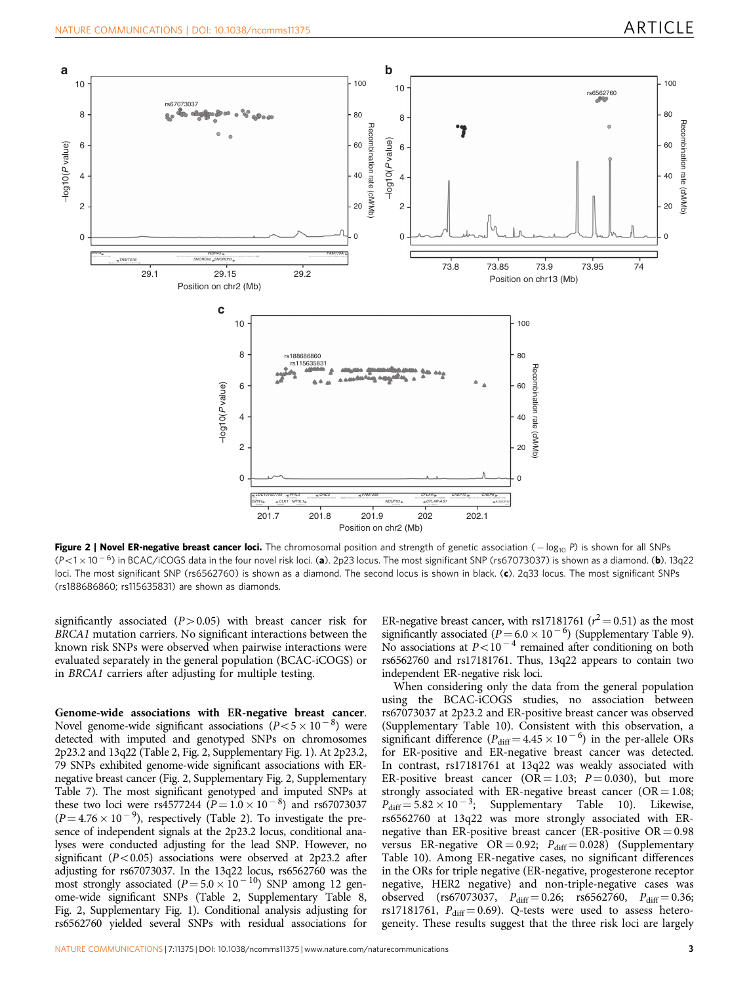<span id="page-2-0"></span>

Figure 2 | Novel ER-negative breast cancer loci. The chromosomal position and strength of genetic association  $(-\log_{10} P)$  is shown for all SNPs  $(P<1\times10^{-6})$  in BCAC/iCOGS data in the four novel risk loci. (a). 2p23 locus. The most significant SNP (rs67073037) is shown as a diamond. (b). 13q22 loci. The most significant SNP (rs6562760) is shown as a diamond. The second locus is shown in black. (c). 2q33 locus. The most significant SNPs (rs188686860; rs115635831) are shown as diamonds.

significantly associated  $(P>0.05)$  with breast cancer risk for BRCA1 mutation carriers. No significant interactions between the known risk SNPs were observed when pairwise interactions were evaluated separately in the general population (BCAC-iCOGS) or in BRCA1 carriers after adjusting for multiple testing.

Genome-wide associations with ER-negative breast cancer. Novel genome-wide significant associations  $(P<5\times 10^{-8})$  were detected with imputed and genotyped SNPs on chromosomes 2p23.2 and 13q22 [\(Table 2,](#page-5-0) Fig. 2, Supplementary Fig. 1). At 2p23.2, 79 SNPs exhibited genome-wide significant associations with ERnegative breast cancer (Fig. 2, Supplementary Fig. 2, Supplementary Table 7). The most significant genotyped and imputed SNPs at these two loci were rs4577244  $(P = 1.0 \times 10^{-8})$  and rs67073037  $(P = 4.76 \times 10^{-9})$ , respectively [\(Table 2\)](#page-5-0). To investigate the presence of independent signals at the 2p23.2 locus, conditional analyses were conducted adjusting for the lead SNP. However, no significant ( $P < 0.05$ ) associations were observed at 2p23.2 after adjusting for rs67073037. In the 13q22 locus, rs6562760 was the most strongly associated ( $P = 5.0 \times 10^{-10}$ ) SNP among 12 genome-wide significant SNPs ([Table 2](#page-5-0), Supplementary Table 8, Fig. 2, Supplementary Fig. 1). Conditional analysis adjusting for rs6562760 yielded several SNPs with residual associations for

ER-negative breast cancer, with rs17181761 ( $r^2$  = 0.51) as the most significantly associated ( $P = 6.0 \times 10^{-6}$ ) (Supplementary Table 9). No associations at  $P < 10^{-4}$  remained after conditioning on both rs6562760 and rs17181761. Thus, 13q22 appears to contain two independent ER-negative risk loci.

When considering only the data from the general population using the BCAC-iCOGS studies, no association between rs67073037 at 2p23.2 and ER-positive breast cancer was observed (Supplementary Table 10). Consistent with this observation, a significant difference ( $P_{diff} = 4.45 \times 10^{-6}$ ) in the per-allele ORs for ER-positive and ER-negative breast cancer was detected. In contrast, rs17181761 at 13q22 was weakly associated with ER-positive breast cancer (OR = 1.03;  $P = 0.030$ ), but more strongly associated with ER-negative breast cancer ( $OR = 1.08$ ;  $P_{\text{diff}} = 5.82 \times 10^{-3}$ ; Supplementary Table 10). Likewise, rs6562760 at 13q22 was more strongly associated with ERnegative than ER-positive breast cancer (ER-positive  $OR = 0.98$ versus ER-negative OR = 0.92;  $P_{diff} = 0.028$ ) (Supplementary Table 10). Among ER-negative cases, no significant differences in the ORs for triple negative (ER-negative, progesterone receptor negative, HER2 negative) and non-triple-negative cases was observed (rs67073037,  $P_{\text{diff}} = 0.26$ ; rs6562760,  $P_{\text{diff}} = 0.36$ ; rs17181761,  $P_{\text{diff}} = 0.69$ ). Q-tests were used to assess heterogeneity. These results suggest that the three risk loci are largely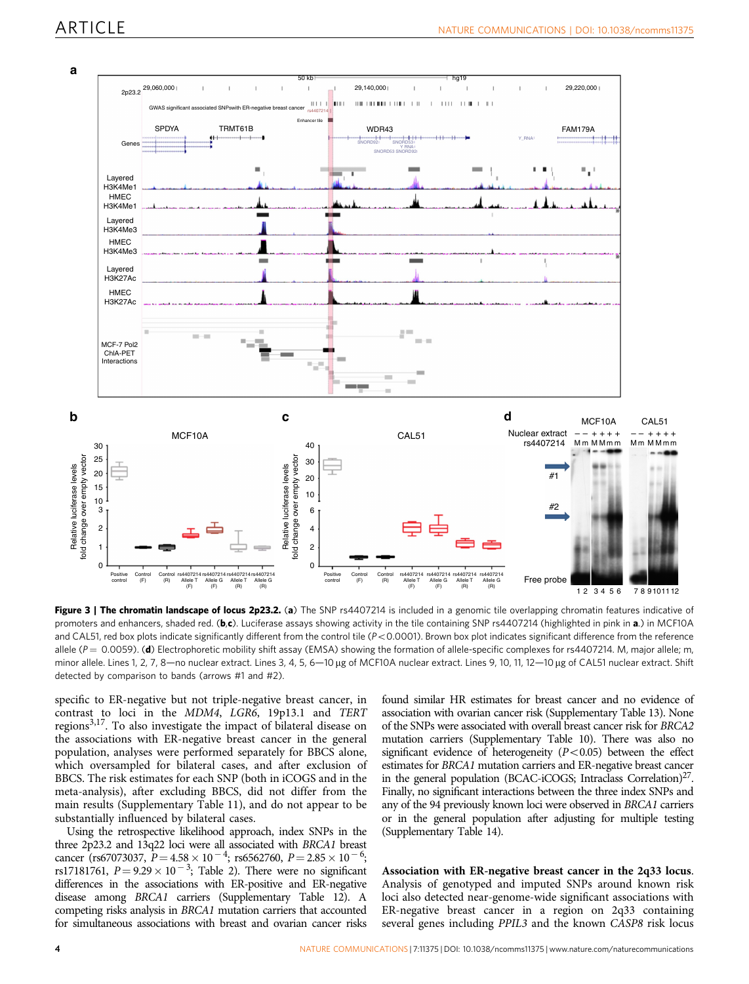<span id="page-3-0"></span>

Figure 3 | The chromatin landscape of locus 2p23.2. (a) The SNP rs4407214 is included in a genomic tile overlapping chromatin features indicative of promoters and enhancers, shaded red. (b,c). Luciferase assays showing activity in the tile containing SNP rs4407214 (highlighted in pink in a.) in MCF10A and CAL51, red box plots indicate significantly different from the control tile  $(P< 0.0001)$ . Brown box plot indicates significant difference from the reference allele ( $P = 0.0059$ ). (d) Electrophoretic mobility shift assay (EMSA) showing the formation of allele-specific complexes for rs4407214. M, major allele; m, minor allele. Lines 1, 2, 7, 8—no nuclear extract. Lines 3, 4, 5, 6—10 µg of MCF10A nuclear extract. Lines 9, 10, 11, 12—10 µg of CAL51 nuclear extract. Shift detected by comparison to bands (arrows #1 and #2).

specific to ER-negative but not triple-negative breast cancer, in contrast to loci in the MDM4, LGR6, 19p13.1 and TERT regions<sup>3,17</sup>. To also investigate the impact of bilateral disease on the associations with ER-negative breast cancer in the general population, analyses were performed separately for BBCS alone, which oversampled for bilateral cases, and after exclusion of BBCS. The risk estimates for each SNP (both in iCOGS and in the meta-analysis), after excluding BBCS, did not differ from the main results (Supplementary Table 11), and do not appear to be substantially influenced by bilateral cases.

Using the retrospective likelihood approach, index SNPs in the three 2p23.2 and 13q22 loci were all associated with BRCA1 breast cancer (rs67073037,  $P = 4.58 \times 10^{-4}$ ; rs6562760,  $P = 2.85 \times 10^{-6}$ ; rs17181761,  $P = 9.29 \times 10^{-3}$ ; [Table 2\)](#page-5-0). There were no significant differences in the associations with ER-positive and ER-negative disease among BRCA1 carriers (Supplementary Table 12). A competing risks analysis in BRCA1 mutation carriers that accounted for simultaneous associations with breast and ovarian cancer risks found similar HR estimates for breast cancer and no evidence of association with ovarian cancer risk (Supplementary Table 13). None of the SNPs were associated with overall breast cancer risk for BRCA2 mutation carriers (Supplementary Table 10). There was also no significant evidence of heterogeneity  $(P<0.05)$  between the effect estimates for BRCA1 mutation carriers and ER-negative breast cancer in the general population (BCAC-iCOGS; Intraclass Correlation)<sup>27</sup>. Finally, no significant interactions between the three index SNPs and any of the 94 previously known loci were observed in BRCA1 carriers or in the general population after adjusting for multiple testing (Supplementary Table 14).

Association with ER-negative breast cancer in the 2q33 locus. Analysis of genotyped and imputed SNPs around known risk loci also detected near-genome-wide significant associations with ER-negative breast cancer in a region on 2q33 containing several genes including PPIL3 and the known CASP8 risk locus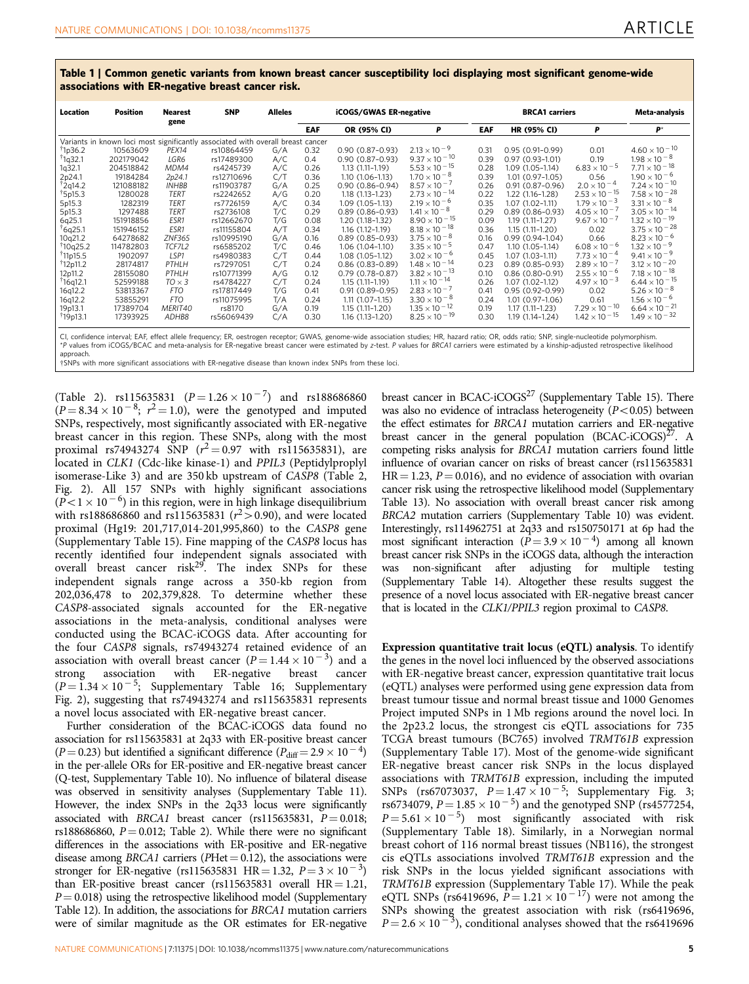<span id="page-4-0"></span>Table 1 | Common genetic variants from known breast cancer susceptibility loci displaying most significant genome-wide associations with ER-negative breast cancer risk.

| Location             | Position  | <b>Nearest</b><br>gene | <b>SNP</b>                                                                      | <b>Alleles</b> | <b>iCOGS/GWAS ER-negative</b> |                     |                        |      | <b>BRCA1</b> carriers | Meta-analysis          |                        |
|----------------------|-----------|------------------------|---------------------------------------------------------------------------------|----------------|-------------------------------|---------------------|------------------------|------|-----------------------|------------------------|------------------------|
|                      |           |                        |                                                                                 |                | EAF                           | OR (95% CI)         | P                      | EAF  | HR (95% CI)           | P                      | P*                     |
|                      |           |                        | Variants in known loci most significantly associated with overall breast cancer |                |                               |                     |                        |      |                       |                        |                        |
| $\dagger$ 1p36.2     | 10563609  | PEX14                  | rs10864459                                                                      | G/A            | 0.32                          | $0.90(0.87-0.93)$   | $2.13 \times 10^{-9}$  | 0.31 | $0.95(0.91-0.99)$     | 0.01                   | $4.60 \times 10^{-10}$ |
| <sup>†</sup> 1q32.1  | 202179042 | LGR6                   | rs17489300                                                                      | A/C            | 0.4                           | $0.90(0.87-0.93)$   | $9.37 \times 10^{-10}$ | 0.39 | $0.97(0.93 - 1.01)$   | 0.19                   | $1.98 \times 10^{-8}$  |
| 1 <sub>q</sub> 32.1  | 204518842 | MDM4                   | rs4245739                                                                       | A/C            | 0.26                          | $1.13(1.11-1.19)$   | $5.53 \times 10^{-15}$ | 0.28 | $1.09(1.05-1.14)$     | $6.83 \times 10^{-5}$  | $7.71 \times 10^{-18}$ |
| 2p24.1               | 19184284  | 2p24.1                 | rs12710696                                                                      | C/T            | 0.36                          | $1.10(1.06 - 1.13)$ | $1.70 \times 10^{-8}$  | 0.39 | $1.01(0.97 - 1.05)$   | 0.56                   | $1.90 \times 10^{-6}$  |
| <sup>†</sup> 2q14.2  | 121088182 | <b>INHBB</b>           | rs11903787                                                                      | G/A            | 0.25                          | $0.90(0.86 - 0.94)$ | $8.57 \times 10^{-7}$  | 0.26 | $0.91(0.87 - 0.96)$   | $2.0 \times 10^{-4}$   | $7.24 \times 10^{-10}$ |
| <sup>†</sup> 5p15.3  | 1280028   | TERT                   | rs2242652                                                                       | A/G            | 0.20                          | $1.18(1.13 - 1.23)$ | $2.73 \times 10^{-14}$ | 0.22 | 1.22 (1.16-1.28)      | $2.53 \times 10^{-15}$ | $7.58 \times 10^{-28}$ |
| 5p15.3               | 1282319   | TERT                   | rs7726159                                                                       | A/C            | 0.34                          | 1.09 (1.05-1.13)    | $2.19 \times 10^{-6}$  | 0.35 | $1.07(1.02 - 1.11)$   | $1.79 \times 10^{-3}$  | $3.31 \times 10^{-8}$  |
| 5p15.3               | 1297488   | TERT                   | rs2736108                                                                       | T/C            | 0.29                          | $0.89(0.86 - 0.93)$ | $1.41 \times 10^{-8}$  | 0.29 | $0.89(0.86 - 0.93)$   | $4.05 \times 10^{-7}$  | $3.05 \times 10^{-14}$ |
| 6q25.1               | 151918856 | ESR1                   | rs12662670                                                                      | T/G            | 0.08                          | 1.20 (1.18-1.32)    | $8.90 \times 10^{-15}$ | 0.09 | $1.19(1.11 - 1.27)$   | $9.67 \times 10^{-7}$  | $1.32 \times 10^{-19}$ |
| <sup>†</sup> 6q25.1  | 151946152 | ESR1                   | rs11155804                                                                      | A/T            | 0.34                          | $1.16(1.12 - 1.19)$ | $8.18 \times 10^{-18}$ | 0.36 | $1.15(1.11 - 1.20)$   | 0.02                   | $3.75 \times 10^{-28}$ |
| 10q21.2              | 64278682  | ZNF365                 | rs10995190                                                                      | G/A            | 0.16                          | $0.89(0.85 - 0.93)$ | $3.75 \times 10^{-8}$  | 0.16 | $0.99(0.94 - 1.04)$   | 0.66                   | $8.23 \times 10^{-6}$  |
| <sup>†</sup> 10q25.2 | 114782803 | TCF7L2                 | rs6585202                                                                       | T/C            | 0.46                          | 1.06 (1.04-1.10)    | $3.35 \times 10^{-5}$  | 0.47 | $1.10(1.05-1.14)$     | $6.08 \times 10^{-6}$  | $1.32 \times 10^{-9}$  |
| <sup>†</sup> 11p15.5 | 1902097   | LSP1                   | rs4980383                                                                       | C/T            | 0.44                          | 1.08 (1.05-1.12)    | $3.02 \times 10^{-6}$  | 0.45 | $1.07(1.03-1.11)$     | $7.73 \times 10^{-4}$  | $9.41 \times 10^{-9}$  |
| <sup>†</sup> 12p11.2 | 28174817  | PTHLH                  | rs7297051                                                                       | C/T            | 0.24                          | $0.86(0.83 - 0.89)$ | $1.48 \times 10^{-14}$ | 0.23 | $0.89(0.85 - 0.93)$   | $2.89 \times 10^{-7}$  | $3.12 \times 10^{-20}$ |
| 12p11.2              | 28155080  | PTHLH                  | rs10771399                                                                      | A/G            | 0.12                          | $0.79(0.78-0.87)$   | $3.82 \times 10^{-13}$ | 0.10 | $0.86(0.80 - 0.91)$   | $2.55 \times 10^{-6}$  | $7.18 \times 10^{-18}$ |
| †16q12.1             | 52599188  | $TO \times 3$          | rs4784227                                                                       | C/T            | 0.24                          | $1.15(1.11-1.19)$   | $1.11 \times 10^{-14}$ | 0.26 | $1.07(1.02-1.12)$     | $4.97 \times 10^{-3}$  | $6.44 \times 10^{-15}$ |
| 16q12.2              | 53813367  | <b>FTO</b>             | rs17817449                                                                      | T/G            | 0.41                          | $0.91(0.89 - 0.95)$ | $2.83 \times 10^{-7}$  | 0.41 | $0.95(0.92 - 0.99)$   | 0.02                   | $5.26 \times 10^{-8}$  |
| 16q12.2              | 53855291  | <b>FTO</b>             | rs11075995                                                                      | T/A            | 0.24                          | $1.11(1.07-1.15)$   | $3.30 \times 10^{-8}$  | 0.24 | $1.01(0.97 - 1.06)$   | 0.61                   | $1.56 \times 10^{-6}$  |
| 19p13.1              | 17389704  | MERIT40                | rs8170                                                                          | G/A            | 0.19                          | $1.15(1.11 - 1.20)$ | $1.35 \times 10^{-12}$ | 0.19 | $1.17(1.11 - 1.23)$   | $7.29 \times 10^{-10}$ | $6.64 \times 10^{-21}$ |
| <sup>†</sup> 19p13.1 | 17393925  | ADHB8                  | rs56069439                                                                      | C/A            | 0.30                          | 1.16 (1.13-1.20)    | $8.25 \times 10^{-19}$ | 0.30 | 1.19 (1.14-1.24)      | $1.42 \times 10^{-15}$ | $1.49 \times 10^{-32}$ |

CI, confidence interval; EAF, effect allele frequency; ER, oestrogen receptor; GWAS, genome-wide association studies; HR, hazard ratio; OR, odds ratio; SNP, single-nucleotide polymorphism. \*P values from iCOGS/BCAC and meta-analysis for ER-negative breast cancer were estimated by z-test. P values for BRCA1 carriers were estimated by a kinship-adjusted retrospective likelihood approach.

†SNPs with more significant associations with ER-negative disease than known index SNPs from these loci.

([Table 2](#page-5-0)). rs115635831  $(P = 1.26 \times 10^{-7})$  and rs188686860  $(P = 8.34 \times 10^{-8}; r^2 = 1.0)$ , were the genotyped and imputed SNPs, respectively, most significantly associated with ER-negative breast cancer in this region. These SNPs, along with the most proximal rs74943274 SNP  $(r^2 = 0.97$  with rs115635831), are located in CLK1 (Cdc-like kinase-1) and PPIL3 (Peptidylproplyl isomerase-Like 3) and are 350 kb upstream of CASP8 [\(Table 2,](#page-5-0) [Fig. 2\)](#page-2-0). All 157 SNPs with highly significant associations  $(P<1 \times 10^{-6})$  in this region, were in high linkage disequilibrium with rs188686860 and rs115635831 ( $r^2 > 0.90$ ), and were located proximal (Hg19: 201,717,014-201,995,860) to the CASP8 gene (Supplementary Table 15). Fine mapping of the CASP8 locus has recently identified four independent signals associated with overall breast cancer risk<sup>[29](#page-8-0)</sup>. The index SNPs for these independent signals range across a 350-kb region from 202,036,478 to 202,379,828. To determine whether these CASP8-associated signals accounted for the ER-negative associations in the meta-analysis, conditional analyses were conducted using the BCAC-iCOGS data. After accounting for the four CASP8 signals, rs74943274 retained evidence of an association with overall breast cancer  $(P = 1.44 \times 10^{-3})$  and a strong association with ER-negative breast cancer  $(P = 1.34 \times 10^{-5}$ ; Supplementary Table 16; Supplementary Fig. 2), suggesting that rs74943274 and rs115635831 represents a novel locus associated with ER-negative breast cancer.

Further consideration of the BCAC-iCOGS data found no association for rs115635831 at 2q33 with ER-positive breast cancer  $(P = 0.23)$  but identified a significant difference  $(P_{\text{diff}} = 2.9 \times 10^{-4})$ in the per-allele ORs for ER-positive and ER-negative breast cancer (Q-test, Supplementary Table 10). No influence of bilateral disease was observed in sensitivity analyses (Supplementary Table 11). However, the index SNPs in the 2q33 locus were significantly associated with BRCA1 breast cancer (rs115635831,  $P = 0.018$ ; rs188686860,  $P = 0.012$ ; [Table 2\)](#page-5-0). While there were no significant differences in the associations with ER-positive and ER-negative disease among *BRCA1* carriers ( $P$ Het = 0.12), the associations were stronger for ER-negative (rs115635831 HR = 1.32,  $P = 3 \times 10^{-3}$ ) than ER-positive breast cancer (rs115635831 overall  $HR = 1.21$ ,  $P = 0.018$ ) using the retrospective likelihood model (Supplementary Table 12). In addition, the associations for BRCA1 mutation carriers were of similar magnitude as the OR estimates for ER-negative breast cancer in BCAC-iCOGS $^{27}$  (Supplementary Table 15). There was also no evidence of intraclass heterogeneity  $(P<0.05)$  between the effect estimates for BRCA1 mutation carriers and ER-negative breast cancer in the general population  $(BCAC-iCOGS)^{27}$ . A competing risks analysis for BRCA1 mutation carriers found little influence of ovarian cancer on risks of breast cancer (rs115635831  $HR = 1.23$ ,  $P = 0.016$ ), and no evidence of association with ovarian cancer risk using the retrospective likelihood model (Supplementary Table 13). No association with overall breast cancer risk among BRCA2 mutation carriers (Supplementary Table 10) was evident. Interestingly, rs114962751 at 2q33 and rs150750171 at 6p had the most significant interaction ( $\vec{P} = 3.9 \times 10^{-4}$ ) among all known breast cancer risk SNPs in the iCOGS data, although the interaction was non-significant after adjusting for multiple testing (Supplementary Table 14). Altogether these results suggest the presence of a novel locus associated with ER-negative breast cancer that is located in the CLK1/PPIL3 region proximal to CASP8.

Expression quantitative trait locus (eQTL) analysis. To identify the genes in the novel loci influenced by the observed associations with ER-negative breast cancer, expression quantitative trait locus (eQTL) analyses were performed using gene expression data from breast tumour tissue and normal breast tissue and 1000 Genomes Project imputed SNPs in 1 Mb regions around the novel loci. In the 2p23.2 locus, the strongest cis eQTL associations for 735 TCGA breast tumours (BC765) involved TRMT61B expression (Supplementary Table 17). Most of the genome-wide significant ER-negative breast cancer risk SNPs in the locus displayed associations with TRMT61B expression, including the imputed SNPs (rs67073037,  $P = 1.47 \times 10^{-5}$ ; Supplementary Fig. 3; rs6734079,  $P = 1.85 \times 10^{-5}$ ) and the genotyped SNP (rs4577254,  $P = 5.61 \times 10^{-5}$  most significantly associated with risk (Supplementary Table 18). Similarly, in a Norwegian normal breast cohort of 116 normal breast tissues (NB116), the strongest cis eQTLs associations involved TRMT61B expression and the risk SNPs in the locus yielded significant associations with TRMT61B expression (Supplementary Table 17). While the peak eQTL SNPs (rs6419696,  $\vec{P} = 1.21 \times 10^{-17}$ ) were not among the SNPs showing the greatest association with risk (rs6419696,  $P = 2.6 \times 10^{-3}$ ), conditional analyses showed that the rs6419696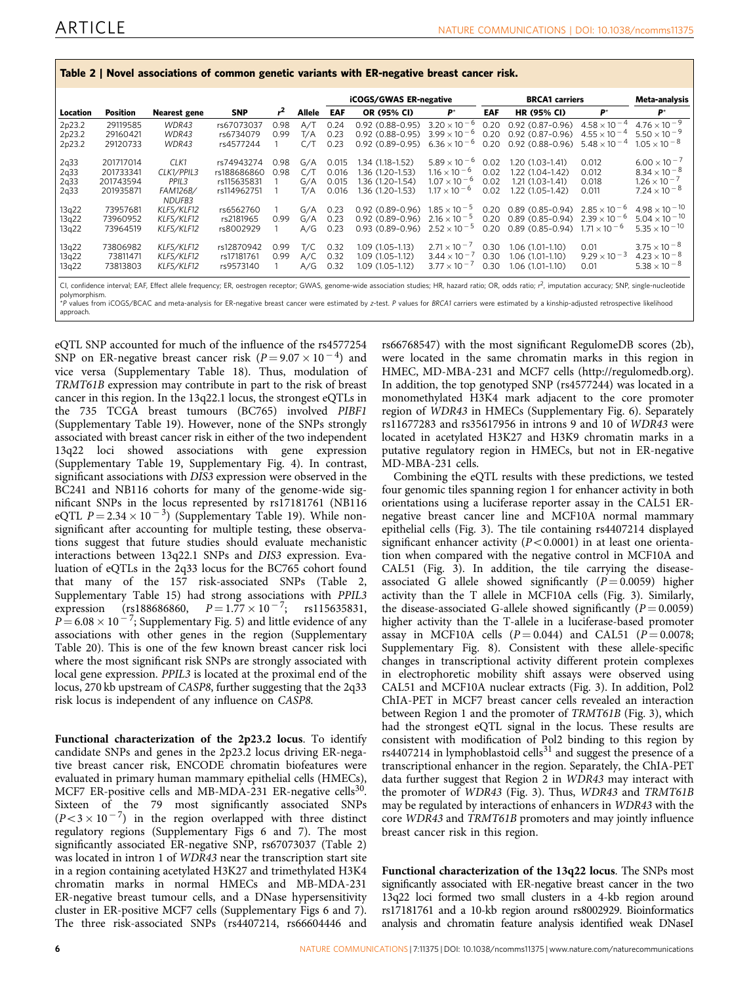| Location                     | Position                                         | <b>Nearest gene</b>                               | <b>SNP</b>                                              | r            | Allele                   | <b>iCOGS/GWAS ER-negative</b>    |                                                                              |                                                                                                  | <b>BRCA1</b> carriers        |                                                                                |                                                                         | Meta-analysis                                                                                    |
|------------------------------|--------------------------------------------------|---------------------------------------------------|---------------------------------------------------------|--------------|--------------------------|----------------------------------|------------------------------------------------------------------------------|--------------------------------------------------------------------------------------------------|------------------------------|--------------------------------------------------------------------------------|-------------------------------------------------------------------------|--------------------------------------------------------------------------------------------------|
|                              |                                                  |                                                   |                                                         |              |                          | EAF                              | OR (95% CI)                                                                  | $P^{\star}$                                                                                      | EAF                          | <b>HR (95% CI)</b>                                                             | $P^{\star}$                                                             | $P^*$                                                                                            |
| 2p23.2<br>2p23.2<br>2p23.2   | 29119585<br>29160421<br>29120733                 | WDR43<br>WDR43<br>WDR43                           | rs67073037<br>rs6734079<br>rs4577244                    | 0.98<br>0.99 | A/T<br>T/A<br>C/1        | 0.24<br>0.23<br>0.23             | 0.92 (0.88-0.95)<br>$0.92(0.88 - 0.95)$<br>$0.92(0.89 - 0.95)$               | $3.20 \times 10^{-6}$<br>$3.99 \times 10^{-6}$<br>$6.36 \times 10^{-6}$                          | 0.20<br>0.20<br>0.20         | $0.92(0.87-0.96)$<br>$0.92(0.87-0.96)$<br>$0.92(0.88-0.96)$                    | $4.58 \times 10^{-4}$<br>$4.55 \times 10^{-4}$<br>$5.48 \times 10^{-4}$ | $4.76 \times 10^{-9}$<br>$5.50 \times 10^{-9}$<br>$1.05 \times 10^{-8}$                          |
| 2q33<br>2q33<br>2q33<br>2q33 | 201717014<br>201733341<br>201743594<br>201935871 | CLK1<br>CLK1/PPIL3<br>PPIL3<br>FAM126B/<br>NDUFB3 | rs74943274<br>rs188686860<br>rs115635831<br>rs114962751 | 0.98<br>0.98 | G/A<br>C/T<br>G/A<br>T/A | 0.015<br>0.016<br>0.015<br>0.016 | 1.34 (1.18–1.52)<br>1.36 (1.20-1.53)<br>1.36 (1.20-1.54)<br>1.36 (1.20-1.53) | $5.89 \times 10^{-6}$<br>$1.16 \times 10^{-6}$<br>$1.07 \times 10^{-6}$<br>$1.17 \times 10^{-6}$ | 0.02<br>0.02<br>0.02<br>0.02 | $1.20(1.03-1.41)$<br>1.22 (1.04-1.42)<br>$1.21(1.03-1.41)$<br>1.22 (1.05-1.42) | 0.012<br>0.012<br>0.018<br>0.011                                        | $6.00 \times 10^{-7}$<br>$8.34 \times 10^{-8}$<br>$1.26 \times 10^{-7}$<br>$7.24 \times 10^{-8}$ |
| 13q22<br>13q22<br>13g22      | 73957681<br>73960952<br>73964519                 | KLF5/KLF12<br>KLF5/KLF12<br>KLF5/KLF12            | rs6562760<br>rs2181965<br>rs8002929                     | 0.99         | G/A<br>G/A<br>A/G        | 0.23<br>0.23<br>0.23             | $0.92(0.89 - 0.96)$<br>$0.92(0.89 - 0.96)$<br>$0.93(0.89 - 0.96)$            | $1.85 \times 10^{-5}$<br>$2.16 \times 10^{-5}$<br>$2.52 \times 10^{-5}$                          | 0.20<br>0.20<br>0.20         | 0.89 (0.85-0.94)<br>$0.89(0.85 - 0.94)$<br>$0.89(0.85 - 0.94)$                 | $2.85 \times 10^{-6}$<br>$2.39 \times 10^{-6}$<br>$1.71 \times 10^{-6}$ | $4.98 \times 10^{-10}$<br>$5.04 \times 10^{-10}$<br>$5.35 \times 10^{-10}$                       |
| 13g22<br>13g22<br>13q22      | 73806982<br>73811471<br>73813803                 | KLF5/KLF12<br>KLF5/KLF12<br>KLF5/KLF12            | rs12870942<br>rs17181761<br>rs9573140                   | 0.99<br>0.99 | T/C<br>A/C<br>A/G        | 0.32<br>0.32<br>0.32             | $1.09(1.05-1.13)$<br>$1.09(1.05-1.12)$<br>$1.09(1.05-1.12)$                  | $2.71 \times 10^{-7}$<br>$3.44 \times 10^{-7}$<br>$3.77 \times 10^{-7}$                          | 0.30<br>0.30<br>0.30         | 1.06 (1.01-1.10)<br>1.06 (1.01–1.10)<br>1.06 (1.01-1.10)                       | 0.01<br>$9.29 \times 10^{-3}$<br>0.01                                   | $3.75 \times 10^{-8}$<br>$4.23 \times 10^{-8}$<br>$5.38 \times 10^{-8}$                          |

<span id="page-5-0"></span>Table 2 | Novel associations of common genetic variants with ER-negative breast cancer risk.

polymorphism.<br>\*P values from iCOGS/BCAC and meta-analysis for ER-negative breast cancer were estimated by z-test. P values for BRCA1 carriers were estimated by a kinship-adjusted retrospective likelihood approach.

eQTL SNP accounted for much of the influence of the rs4577254 SNP on ER-negative breast cancer risk  $(P = 9.07 \times 10^{-4})$  and vice versa (Supplementary Table 18). Thus, modulation of TRMT61B expression may contribute in part to the risk of breast cancer in this region. In the 13q22.1 locus, the strongest eQTLs in the 735 TCGA breast tumours (BC765) involved PIBF1 (Supplementary Table 19). However, none of the SNPs strongly associated with breast cancer risk in either of the two independent 13q22 loci showed associations with gene expression (Supplementary Table 19, Supplementary Fig. 4). In contrast, significant associations with DIS3 expression were observed in the BC241 and NB116 cohorts for many of the genome-wide significant SNPs in the locus represented by rs17181761 (NB116 eQTL  $P = 2.34 \times 10^{-3}$ ) (Supplementary Table 19). While nonsignificant after accounting for multiple testing, these observations suggest that future studies should evaluate mechanistic interactions between 13q22.1 SNPs and DIS3 expression. Evaluation of eQTLs in the 2q33 locus for the BC765 cohort found that many of the 157 risk-associated SNPs (Table 2, Supplementary Table 15) had strong associations with PPIL3 expression (rs188686860,  $P = 1.77 \times 10^{-7}$ ; rs115635831,  $P = 6.08 \times 10^{-7}$ ; Supplementary Fig. 5) and little evidence of any associations with other genes in the region (Supplementary Table 20). This is one of the few known breast cancer risk loci where the most significant risk SNPs are strongly associated with local gene expression. PPIL3 is located at the proximal end of the locus, 270 kb upstream of CASP8, further suggesting that the 2q33 risk locus is independent of any influence on CASP8.

Functional characterization of the 2p23.2 locus. To identify candidate SNPs and genes in the 2p23.2 locus driving ER-negative breast cancer risk, ENCODE chromatin biofeatures were evaluated in primary human mammary epithelial cells (HMECs), MCF7 ER-positive cells and MB-MDA-231 ER-negative cells<sup>30</sup>. Sixteen of the 79 most significantly associated SNPs  $(P<3\times 10^{-7})$  in the region overlapped with three distinct regulatory regions (Supplementary Figs 6 and 7). The most significantly associated ER-negative SNP, rs67073037 (Table 2) was located in intron 1 of WDR43 near the transcription start site in a region containing acetylated H3K27 and trimethylated H3K4 chromatin marks in normal HMECs and MB-MDA-231 ER-negative breast tumour cells, and a DNase hypersensitivity cluster in ER-positive MCF7 cells (Supplementary Figs 6 and 7). The three risk-associated SNPs (rs4407214, rs66604446 and

rs66768547) with the most significant RegulomeDB scores (2b), were located in the same chromatin marks in this region in HMEC, MD-MBA-231 and MCF7 cells (<http://regulomedb.org>). In addition, the top genotyped SNP (rs4577244) was located in a monomethylated H3K4 mark adjacent to the core promoter region of WDR43 in HMECs (Supplementary Fig. 6). Separately rs11677283 and rs35617956 in introns 9 and 10 of WDR43 were located in acetylated H3K27 and H3K9 chromatin marks in a putative regulatory region in HMECs, but not in ER-negative MD-MBA-231 cells.

Combining the eQTL results with these predictions, we tested four genomic tiles spanning region 1 for enhancer activity in both orientations using a luciferase reporter assay in the CAL51 ERnegative breast cancer line and MCF10A normal mammary epithelial cells ([Fig. 3\)](#page-3-0). The tile containing rs4407214 displayed significant enhancer activity  $(P<0.0001)$  in at least one orientation when compared with the negative control in MCF10A and CAL51 ([Fig. 3](#page-3-0)). In addition, the tile carrying the diseaseassociated G allele showed significantly  $(P = 0.0059)$  higher activity than the T allele in MCF10A cells [\(Fig. 3](#page-3-0)). Similarly, the disease-associated G-allele showed significantly  $(P = 0.0059)$ higher activity than the T-allele in a luciferase-based promoter assay in MCF10A cells  $(P = 0.044)$  and CAL51  $(P = 0.0078;$ Supplementary Fig. 8). Consistent with these allele-specific changes in transcriptional activity different protein complexes in electrophoretic mobility shift assays were observed using CAL51 and MCF10A nuclear extracts [\(Fig. 3\)](#page-3-0). In addition, Pol2 ChIA-PET in MCF7 breast cancer cells revealed an interaction between Region 1 and the promoter of TRMT61B ([Fig. 3\)](#page-3-0), which had the strongest eQTL signal in the locus. These results are consistent with modification of Pol2 binding to this region by rs4407214 in lymphoblastoid cells<sup>31</sup> and suggest the presence of a transcriptional enhancer in the region. Separately, the ChIA-PET data further suggest that Region 2 in WDR43 may interact with the promoter of WDR43 ([Fig. 3\)](#page-3-0). Thus, WDR43 and TRMT61B may be regulated by interactions of enhancers in WDR43 with the core WDR43 and TRMT61B promoters and may jointly influence breast cancer risk in this region.

Functional characterization of the 13q22 locus. The SNPs most significantly associated with ER-negative breast cancer in the two 13q22 loci formed two small clusters in a 4-kb region around rs17181761 and a 10-kb region around rs8002929. Bioinformatics analysis and chromatin feature analysis identified weak DNaseI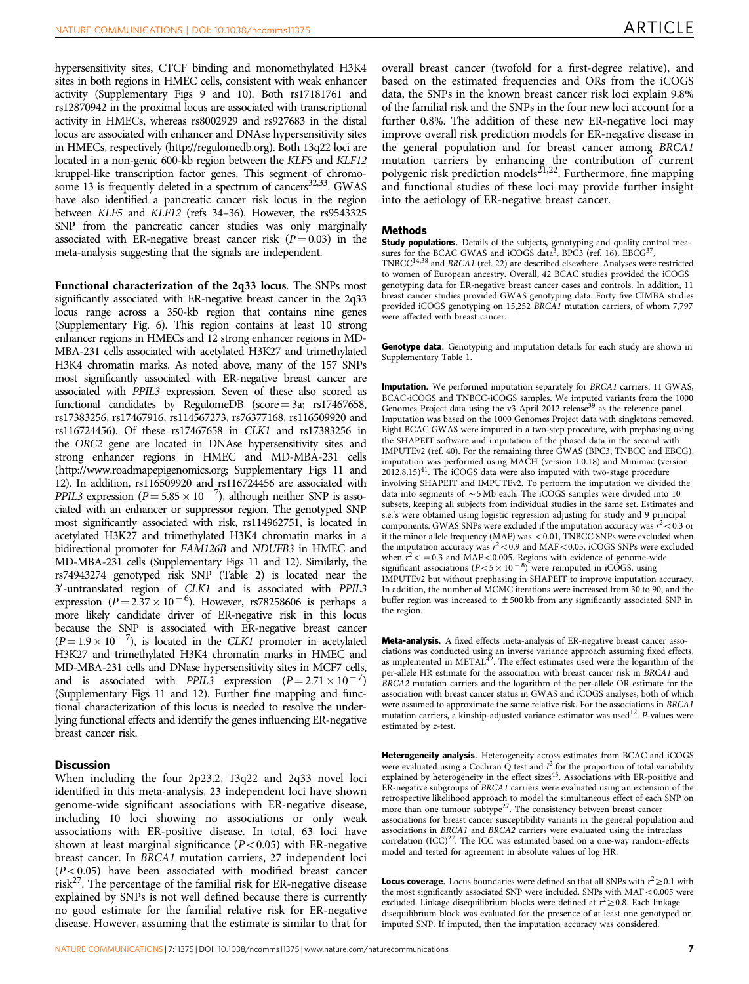hypersensitivity sites, CTCF binding and monomethylated H3K4 sites in both regions in HMEC cells, consistent with weak enhancer activity (Supplementary Figs 9 and 10). Both rs17181761 and rs12870942 in the proximal locus are associated with transcriptional activity in HMECs, whereas rs8002929 and rs927683 in the distal locus are associated with enhancer and DNAse hypersensitivity sites in HMECs, respectively [\(http://regulomedb.org\)](http://regulomedb.org). Both 13q22 loci are located in a non-genic 600-kb region between the KLF5 and KLF12 kruppel-like transcription factor genes. This segment of chromosome 13 is frequently deleted in a spectrum of cancers<sup>32,33</sup>. GWAS have also identified a pancreatic cancer risk locus in the region between KLF5 and KLF12 [\(refs 34–36\)](#page-8-0). However, the rs9543325 SNP from the pancreatic cancer studies was only marginally associated with ER-negative breast cancer risk  $(P = 0.03)$  in the meta-analysis suggesting that the signals are independent.

Functional characterization of the 2q33 locus. The SNPs most significantly associated with ER-negative breast cancer in the 2q33 locus range across a 350-kb region that contains nine genes (Supplementary Fig. 6). This region contains at least 10 strong enhancer regions in HMECs and 12 strong enhancer regions in MD-MBA-231 cells associated with acetylated H3K27 and trimethylated H3K4 chromatin marks. As noted above, many of the 157 SNPs most significantly associated with ER-negative breast cancer are associated with PPIL3 expression. Seven of these also scored as functional candidates by RegulomeDB (score = 3a; rs17467658, rs17383256, rs17467916, rs114567273, rs76377168, rs116509920 and rs116724456). Of these rs17467658 in CLK1 and rs17383256 in the ORC2 gene are located in DNAse hypersensitivity sites and strong enhancer regions in HMEC and MD-MBA-231 cells ([http://www.roadmapepigenomics.org](http:// www.roadmapepigenomics.org); Supplementary Figs 11 and 12). In addition, rs116509920 and rs116724456 are associated with *PPIL3* expression ( $P = 5.85 \times 10^{-7}$ ), although neither SNP is associated with an enhancer or suppressor region. The genotyped SNP most significantly associated with risk, rs114962751, is located in acetylated H3K27 and trimethylated H3K4 chromatin marks in a bidirectional promoter for FAM126B and NDUFB3 in HMEC and MD-MBA-231 cells (Supplementary Figs 11 and 12). Similarly, the rs74943274 genotyped risk SNP [\(Table 2](#page-5-0)) is located near the 3'-untranslated region of CLK1 and is associated with PPIL3 expression ( $P = 2.37 \times 10^{-6}$ ). However, rs78258606 is perhaps a more likely candidate driver of ER-negative risk in this locus because the SNP is associated with ER-negative breast cancer  $(P = 1.9 \times 10^{-7})$ , is located in the CLK1 promoter in acetylated H3K27 and trimethylated H3K4 chromatin marks in HMEC and MD-MBA-231 cells and DNase hypersensitivity sites in MCF7 cells, and is associated with *PPIL3* expression  $(P = 2.71 \times 10^{-7})$ (Supplementary Figs 11 and 12). Further fine mapping and functional characterization of this locus is needed to resolve the underlying functional effects and identify the genes influencing ER-negative breast cancer risk.

### **Discussion**

When including the four 2p23.2, 13q22 and 2q33 novel loci identified in this meta-analysis, 23 independent loci have shown genome-wide significant associations with ER-negative disease, including 10 loci showing no associations or only weak associations with ER-positive disease. In total, 63 loci have shown at least marginal significance ( $P$ <0.05) with ER-negative breast cancer. In BRCA1 mutation carriers, 27 independent loci  $(P<0.05)$  have been associated with modified breast cancer risk[27.](#page-8-0) The percentage of the familial risk for ER-negative disease explained by SNPs is not well defined because there is currently no good estimate for the familial relative risk for ER-negative disease. However, assuming that the estimate is similar to that for overall breast cancer (twofold for a first-degree relative), and based on the estimated frequencies and ORs from the iCOGS data, the SNPs in the known breast cancer risk loci explain 9.8% of the familial risk and the SNPs in the four new loci account for a further 0.8%. The addition of these new ER-negative loci may improve overall risk prediction models for ER-negative disease in the general population and for breast cancer among BRCA1 mutation carriers by enhancing the contribution of current polygenic risk prediction models<sup>21,22</sup>. Furthermore, fine mapping and functional studies of these loci may provide further insight into the aetiology of ER-negative breast cancer.

#### Methods

Study populations. Details of the subjects, genotyping and quality control measures for the BCAC GWAS and iCOGS data<sup>3</sup>, BPC3 ([ref. 16](#page-7-0)), EBCG<sup>[37](#page-8-0)</sup>, TNBCC[14,38](#page-7-0) and BRCA1 [\(ref. 22](#page-7-0)) are described elsewhere. Analyses were restricted to women of European ancestry. Overall, 42 BCAC studies provided the iCOGS genotyping data for ER-negative breast cancer cases and controls. In addition, 11 breast cancer studies provided GWAS genotyping data. Forty five CIMBA studies provided iCOGS genotyping on 15,252 BRCA1 mutation carriers, of whom 7,797 were affected with breast cancer.

Genotype data. Genotyping and imputation details for each study are shown in Supplementary Table 1.

**Imputation.** We performed imputation separately for BRCA1 carriers, 11 GWAS, BCAC-iCOGS and TNBCC-iCOGS samples. We imputed variants from the 1000 Genomes Project data using the v3 April 2012 release<sup>[39](#page-8-0)</sup> as the reference panel. Imputation was based on the 1000 Genomes Project data with singletons removed. Eight BCAC GWAS were imputed in a two-step procedure, with prephasing using the SHAPEIT software and imputation of the phased data in the second with IMPUTEv2 ([ref. 40\)](#page-8-0). For the remaining three GWAS (BPC3, TNBCC and EBCG), imputation was performed using MACH (version 1.0.18) and Minimac (version  $2012.8.15)$ <sup>[41](#page-8-0)</sup>. The iCOGS data were also imputed with two-stage procedure involving SHAPEIT and IMPUTEv2. To perform the imputation we divided the data into segments of  $\sim$  5 Mb each. The iCOGS samples were divided into 10 subsets, keeping all subjects from individual studies in the same set. Estimates and s.e.'s were obtained using logistic regression adjusting for study and 9 principal components. GWAS SNPs were excluded if the imputation accuracy was  $r^2$  < 0.3 or if the minor allele frequency (MAF) was <0.01, TNBCC SNPs were excluded when the imputation accuracy was  $r^2$  < 0.9 and MAF < 0.05, iCOGS SNPs were excluded when  $\dot{r}^2$  < = 0.3 and MAF < 0.005. Regions with evidence of genome-wide significant associations ( $P < 5 \times 10^{-8}$ ) were reimputed in iCOGS, using IMPUTEv2 but without prephasing in SHAPEIT to improve imputation accuracy. In addition, the number of MCMC iterations were increased from 30 to 90, and the buffer region was increased to  $\pm 500$  kb from any significantly associated SNP in the region.

Meta-analysis. A fixed effects meta-analysis of ER-negative breast cancer associations was conducted using an inverse variance approach assuming fixed effects, as implemented in METAL $42$ . The effect estimates used were the logarithm of the per-allele HR estimate for the association with breast cancer risk in BRCA1 and BRCA2 mutation carriers and the logarithm of the per-allele OR estimate for the association with breast cancer status in GWAS and iCOGS analyses, both of which were assumed to approximate the same relative risk. For the associations in BRCA1 mutation carriers, a kinship-adjusted variance estimator was used<sup>12</sup>. P-values were estimated by z-test.

Heterogeneity analysis. Heterogeneity across estimates from BCAC and iCOGS were evaluated using a Cochran  $\tilde{Q}$  test and  $I^2$  for the proportion of total variability explained by heterogeneity in the effect sizes<sup>[43](#page-8-0)</sup>. Associations with ER-positive and ER-negative subgroups of BRCA1 carriers were evaluated using an extension of the retrospective likelihood approach to model the simultaneous effect of each SNP on more than one tumour subtype<sup>[27](#page-8-0)</sup>. The consistency between breast cancer associations for breast cancer susceptibility variants in the general population and associations in BRCA1 and BRCA2 carriers were evaluated using the intraclass correlation  $(ICC)^{27}$ . The ICC was estimated based on a one-way random-effects model and tested for agreement in absolute values of log HR.

**Locus coverage.** Locus boundaries were defined so that all SNPs with  $r^2 \ge 0.1$  with the most significantly associated SNP were included. SNPs with  $MAF < 0.005$  were excluded. Linkage disequilibrium blocks were defined at  $r^2 \ge 0.8$ . Each linkage disequilibrium block was evaluated for the presence of at least one genotyped or imputed SNP. If imputed, then the imputation accuracy was considered.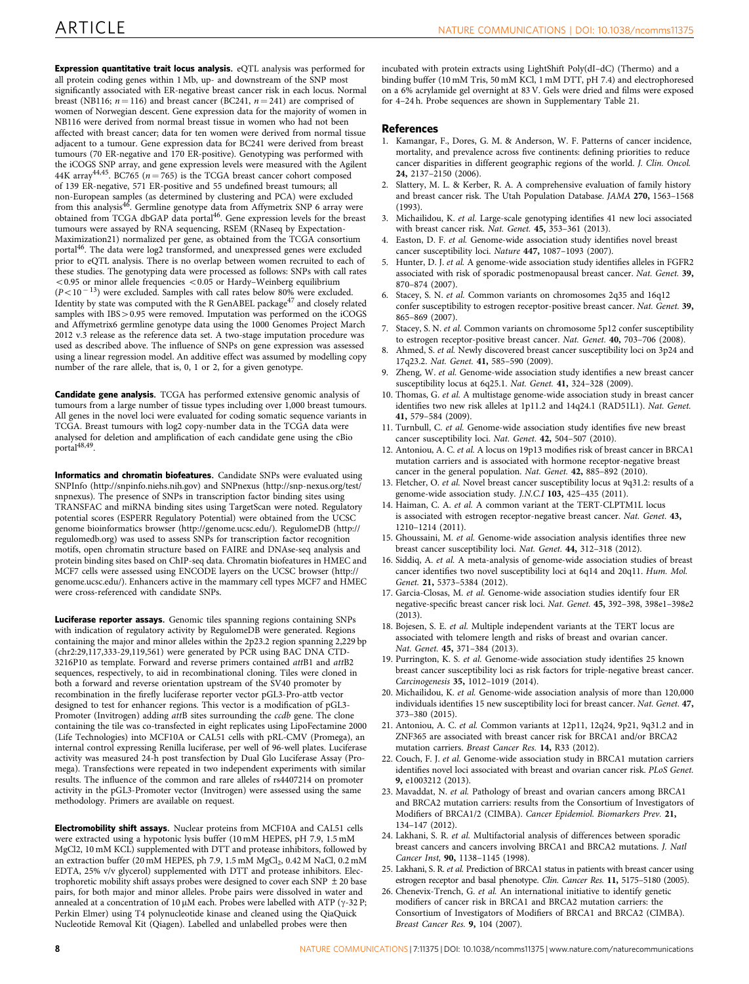<span id="page-7-0"></span>Expression quantitative trait locus analysis. eQTL analysis was performed for all protein coding genes within 1 Mb, up- and downstream of the SNP most significantly associated with ER-negative breast cancer risk in each locus. Normal breast (NB116;  $n = 116$ ) and breast cancer (BC241,  $n = 241$ ) are comprised of women of Norwegian descent. Gene expression data for the majority of women in NB116 were derived from normal breast tissue in women who had not been affected with breast cancer; data for ten women were derived from normal tissue adjacent to a tumour. Gene expression data for BC241 were derived from breast tumours (70 ER-negative and 170 ER-positive). Genotyping was performed with the iCOGS SNP array, and gene expression levels were measured with the Agilent 44K array<sup>[44,45](#page-8-0)</sup>. BC765 ( $n = 765$ ) is the TCGA breast cancer cohort composed of 139 ER-negative, 571 ER-positive and 55 undefined breast tumours; all non-European samples (as determined by clustering and PCA) were excluded<br>from this analysis<sup>[46](#page-8-0)</sup>. Germline genotype data from Affymetrix SNP 6 array were obtained from TCGA dbGAP data portal<sup>[46](#page-8-0)</sup>. Gene expression levels for the breast tumours were assayed by RNA sequencing, RSEM (RNaseq by Expectation-Maximization21) normalized per gene, as obtained from the TCGA consortium portal<sup>[46](#page-8-0)</sup>. The data were log2 transformed, and unexpressed genes were excluded prior to eQTL analysis. There is no overlap between women recruited to each of these studies. The genotyping data were processed as follows: SNPs with call rates  $<$  0.95 or minor allele frequencies  $<$  0.05 or Hardy–Weinberg equilibrium  $(P<10<sup>-13</sup>)$  were excluded. Samples with call rates below 80% were excluded. Identity by state was computed with the R GenABEL package<sup>[47](#page-8-0)</sup> and closely related samples with IBS > 0.95 were removed. Imputation was performed on the iCOGS and Affymetrix6 germline genotype data using the 1000 Genomes Project March 2012 v.3 release as the reference data set. A two-stage imputation procedure was used as described above. The influence of SNPs on gene expression was assessed using a linear regression model. An additive effect was assumed by modelling copy number of the rare allele, that is, 0, 1 or 2, for a given genotype.

Candidate gene analysis. TCGA has performed extensive genomic analysis of tumours from a large number of tissue types including over 1,000 breast tumours. All genes in the novel loci were evaluated for coding somatic sequence variants in TCGA. Breast tumours with log2 copy-number data in the TCGA data were analysed for deletion and amplification of each candidate gene using the cBio portal<sup>[48,49](#page-8-0)</sup>

Informatics and chromatin biofeatures. Candidate SNPs were evaluated using SNPInfo [\(http://snpinfo.niehs.nih.gov](http://snpinfo.niehs.nih.gov)) and SNPnexus [\(http://snp-nexus.org/test/](http://snp-nexus.org/test/snpnexus) [snpnexus\)](http://snp-nexus.org/test/snpnexus). The presence of SNPs in transcription factor binding sites using TRANSFAC and miRNA binding sites using TargetScan were noted. Regulatory potential scores (ESPERR Regulatory Potential) were obtained from the UCSC genome bioinformatics browser [\(http://genome.ucsc.edu/](http://genome.ucsc.edu/)). RegulomeDB ([http://](http://regulomedb.org) [regulomedb.org\)](http://regulomedb.org) was used to assess SNPs for transcription factor recognition motifs, open chromatin structure based on FAIRE and DNAse-seq analysis and protein binding sites based on ChIP-seq data. Chromatin biofeatures in HMEC and MCF7 cells were assessed using ENCODE layers on the UCSC browser [\(http://](http://genome.ucsc.edu/) [genome.ucsc.edu/\)](http://genome.ucsc.edu/). Enhancers active in the mammary cell types MCF7 and HMEC were cross-referenced with candidate SNPs.

Luciferase reporter assays. Genomic tiles spanning regions containing SNPs with indication of regulatory activity by RegulomeDB were generated. Regions containing the major and minor alleles within the 2p23.2 region spanning 2,229 bp (chr2:29,117,333-29,119,561) were generated by PCR using BAC DNA CTD-3216P10 as template. Forward and reverse primers contained attB1 and attB2 sequences, respectively, to aid in recombinational cloning. Tiles were cloned in both a forward and reverse orientation upstream of the SV40 promoter by recombination in the firefly luciferase reporter vector pGL3-Pro-attb vector designed to test for enhancer regions. This vector is a modification of pGL3- Promoter (Invitrogen) adding attB sites surrounding the ccdb gene. The clone containing the tile was co-transfected in eight replicates using LipoFectamine 2000 (Life Technologies) into MCF10A or CAL51 cells with pRL-CMV (Promega), an internal control expressing Renilla luciferase, per well of 96-well plates. Luciferase activity was measured 24-h post transfection by Dual Glo Luciferase Assay (Promega). Transfections were repeated in two independent experiments with similar results. The influence of the common and rare alleles of rs4407214 on promoter activity in the pGL3-Promoter vector (Invitrogen) were assessed using the same methodology. Primers are available on request.

Electromobility shift assays. Nuclear proteins from MCF10A and CAL51 cells were extracted using a hypotonic lysis buffer (10 mM HEPES, pH 7.9, 1.5 mM MgCl2, 10 mM KCL) supplemented with DTT and protease inhibitors, followed by an extraction buffer (20 mM HEPES, ph 7.9, 1.5 mM MgCl<sub>2</sub>, 0.42 M NaCl, 0.2 mM EDTA, 25% v/v glycerol) supplemented with DTT and protease inhibitors. Electrophoretic mobility shift assays probes were designed to cover each SNP  $\pm$  20 base pairs, for both major and minor alleles. Probe pairs were dissolved in water and annealed at a concentration of 10  $\upmu\text{M}$  each. Probes were labelled with ATP (y-32 P; Perkin Elmer) using T4 polynucleotide kinase and cleaned using the QiaQuick Nucleotide Removal Kit (Qiagen). Labelled and unlabelled probes were then

incubated with protein extracts using LightShift Poly(dI–dC) (Thermo) and a binding buffer (10 mM Tris, 50 mM KCl, 1 mM DTT, pH 7.4) and electrophoresed on a 6% acrylamide gel overnight at 83 V. Gels were dried and films were exposed for 4–24 h. Probe sequences are shown in Supplementary Table 21.

#### References

- 1. Kamangar, F., Dores, G. M. & Anderson, W. F. Patterns of cancer incidence, mortality, and prevalence across five continents: defining priorities to reduce cancer disparities in different geographic regions of the world. J. Clin. Oncol. 24, 2137–2150 (2006).
- 2. Slattery, M. L. & Kerber, R. A. A comprehensive evaluation of family history and breast cancer risk. The Utah Population Database. JAMA 270, 1563–1568 (1993).
- 3. Michailidou, K. et al. Large-scale genotyping identifies 41 new loci associated with breast cancer risk. Nat. Genet. 45, 353-361 (2013).
- Easton, D. F. et al. Genome-wide association study identifies novel breast cancer susceptibility loci. Nature 447, 1087–1093 (2007).
- 5. Hunter, D. J. et al. A genome-wide association study identifies alleles in FGFR2 associated with risk of sporadic postmenopausal breast cancer. Nat. Genet. 39, 870–874 (2007).
- Stacey, S. N. et al. Common variants on chromosomes 2q35 and 16q12 confer susceptibility to estrogen receptor-positive breast cancer. Nat. Genet. 39, 865–869 (2007).
- Stacey, S. N. et al. Common variants on chromosome 5p12 confer susceptibility to estrogen receptor-positive breast cancer. Nat. Genet. 40, 703–706 (2008).
- Ahmed, S. et al. Newly discovered breast cancer susceptibility loci on 3p24 and 17q23.2. Nat. Genet. 41, 585–590 (2009).
- Zheng, W. et al. Genome-wide association study identifies a new breast cancer susceptibility locus at 6q25.1. Nat. Genet. 41, 324–328 (2009).
- 10. Thomas, G. et al. A multistage genome-wide association study in breast cancer identifies two new risk alleles at 1p11.2 and 14q24.1 (RAD51L1). Nat. Genet. 41, 579–584 (2009).
- 11. Turnbull, C. et al. Genome-wide association study identifies five new breast cancer susceptibility loci. Nat. Genet. 42, 504–507 (2010).
- 12. Antoniou, A. C. et al. A locus on 19p13 modifies risk of breast cancer in BRCA1 mutation carriers and is associated with hormone receptor-negative breast cancer in the general population. Nat. Genet. 42, 885–892 (2010).
- 13. Fletcher, O. et al. Novel breast cancer susceptibility locus at 9q31.2: results of a genome-wide association study. J.N.C.I 103, 425–435 (2011).
- 14. Haiman, C. A. et al. A common variant at the TERT-CLPTM1L locus is associated with estrogen receptor-negative breast cancer. Nat. Genet. 43, 1210–1214 (2011).
- 15. Ghoussaini, M. et al. Genome-wide association analysis identifies three new breast cancer susceptibility loci. Nat. Genet. 44, 312–318 (2012).
- 16. Siddiq, A. et al. A meta-analysis of genome-wide association studies of breast cancer identifies two novel susceptibility loci at 6q14 and 20q11. Hum. Mol. Genet. 21, 5373–5384 (2012).
- 17. Garcia-Closas, M. et al. Genome-wide association studies identify four ER negative-specific breast cancer risk loci. Nat. Genet. 45, 392–398, 398e1–398e2 (2013).
- 18. Bojesen, S. E. et al. Multiple independent variants at the TERT locus are associated with telomere length and risks of breast and ovarian cancer. Nat. Genet. 45, 371–384 (2013).
- 19. Purrington, K. S. et al. Genome-wide association study identifies 25 known breast cancer susceptibility loci as risk factors for triple-negative breast cancer. Carcinogenesis 35, 1012–1019 (2014).
- 20. Michailidou, K. et al. Genome-wide association analysis of more than 120,000 individuals identifies 15 new susceptibility loci for breast cancer. Nat. Genet. 47, 373–380 (2015).
- 21. Antoniou, A. C. et al. Common variants at 12p11, 12q24, 9p21, 9q31.2 and in ZNF365 are associated with breast cancer risk for BRCA1 and/or BRCA2 mutation carriers. Breast Cancer Res. 14, R33 (2012).
- 22. Couch, F. J. et al. Genome-wide association study in BRCA1 mutation carriers identifies novel loci associated with breast and ovarian cancer risk. PLoS Genet. 9, e1003212 (2013).
- 23. Mavaddat, N. et al. Pathology of breast and ovarian cancers among BRCA1 and BRCA2 mutation carriers: results from the Consortium of Investigators of Modifiers of BRCA1/2 (CIMBA). Cancer Epidemiol. Biomarkers Prev. 21, 134–147 (2012).
- 24. Lakhani, S. R. et al. Multifactorial analysis of differences between sporadic breast cancers and cancers involving BRCA1 and BRCA2 mutations. J. Natl Cancer Inst, 90, 1138–1145 (1998).
- 25. Lakhani, S. R. et al. Prediction of BRCA1 status in patients with breast cancer using estrogen receptor and basal phenotype. Clin. Cancer Res. 11, 5175–5180 (2005).
- 26. Chenevix-Trench, G. et al. An international initiative to identify genetic modifiers of cancer risk in BRCA1 and BRCA2 mutation carriers: the Consortium of Investigators of Modifiers of BRCA1 and BRCA2 (CIMBA). Breast Cancer Res. 9, 104 (2007).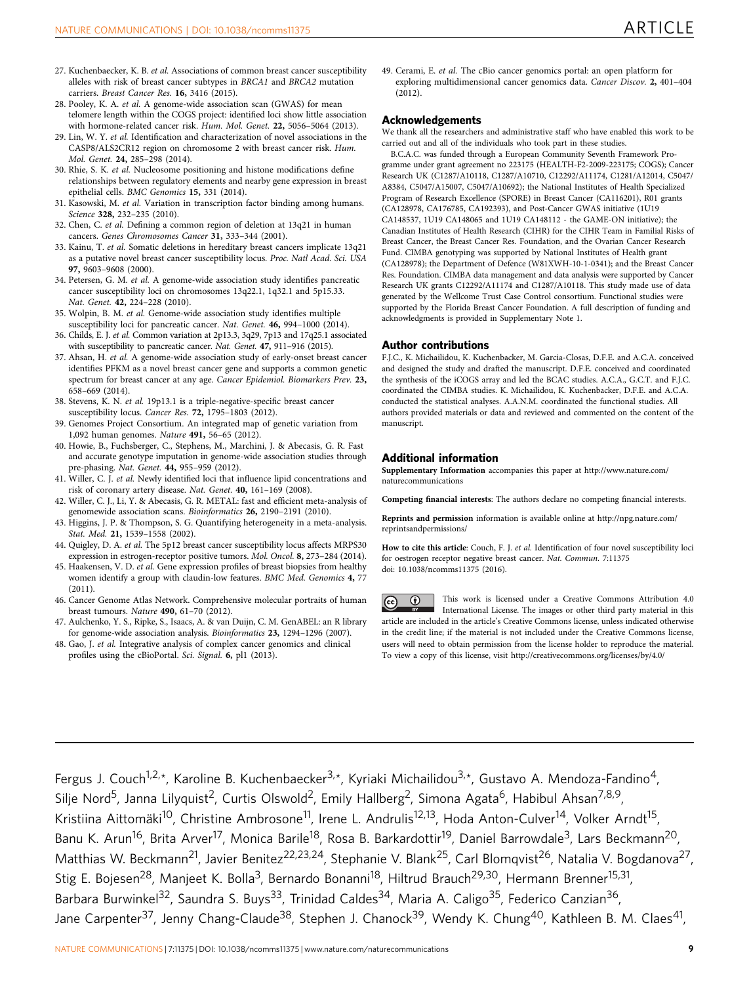- <span id="page-8-0"></span>27. Kuchenbaecker, K. B. et al. Associations of common breast cancer susceptibility alleles with risk of breast cancer subtypes in BRCA1 and BRCA2 mutation carriers. Breast Cancer Res. 16, 3416 (2015).
- 28. Pooley, K. A. et al. A genome-wide association scan (GWAS) for mean telomere length within the COGS project: identified loci show little association with hormone-related cancer risk. Hum. Mol. Genet. 22, 5056–5064 (2013).
- 29. Lin, W. Y. et al. Identification and characterization of novel associations in the CASP8/ALS2CR12 region on chromosome 2 with breast cancer risk. Hum. Mol. Genet. 24, 285–298 (2014).
- 30. Rhie, S. K. et al. Nucleosome positioning and histone modifications define relationships between regulatory elements and nearby gene expression in breast epithelial cells. BMC Genomics 15, 331 (2014).
- 31. Kasowski, M. et al. Variation in transcription factor binding among humans. Science **328**, 232–235 (2010).
- 32. Chen, C. et al. Defining a common region of deletion at 13q21 in human cancers. Genes Chromosomes Cancer 31, 333–344 (2001).
- 33. Kainu, T. et al. Somatic deletions in hereditary breast cancers implicate 13q21 as a putative novel breast cancer susceptibility locus. Proc. Natl Acad. Sci. USA 97, 9603–9608 (2000).
- 34. Petersen, G. M. et al. A genome-wide association study identifies pancreatic cancer susceptibility loci on chromosomes 13q22.1, 1q32.1 and 5p15.33. Nat. Genet. 42, 224–228 (2010).
- 35. Wolpin, B. M. et al. Genome-wide association study identifies multiple susceptibility loci for pancreatic cancer. Nat. Genet. 46, 994–1000 (2014).
- 36. Childs, E. J. et al. Common variation at 2p13.3, 3q29, 7p13 and 17q25.1 associated with susceptibility to pancreatic cancer. Nat. Genet. 47, 911–916 (2015).
- 37. Ahsan, H. et al. A genome-wide association study of early-onset breast cancer identifies PFKM as a novel breast cancer gene and supports a common genetic spectrum for breast cancer at any age. Cancer Epidemiol. Biomarkers Prev. 23, 658–669 (2014).
- 38. Stevens, K. N. et al. 19p13.1 is a triple-negative-specific breast cancer susceptibility locus. Cancer Res. 72, 1795–1803 (2012).
- 39. Genomes Project Consortium. An integrated map of genetic variation from 1,092 human genomes. Nature 491, 56–65 (2012).
- 40. Howie, B., Fuchsberger, C., Stephens, M., Marchini, J. & Abecasis, G. R. Fast and accurate genotype imputation in genome-wide association studies through pre-phasing. Nat. Genet. 44, 955–959 (2012).
- 41. Willer, C. J. et al. Newly identified loci that influence lipid concentrations and risk of coronary artery disease. Nat. Genet. 40, 161–169 (2008).
- 42. Willer, C. J., Li, Y. & Abecasis, G. R. METAL: fast and efficient meta-analysis of genomewide association scans. Bioinformatics 26, 2190–2191 (2010).
- 43. Higgins, J. P. & Thompson, S. G. Quantifying heterogeneity in a meta-analysis. Stat. Med. 21, 1539–1558 (2002).
- 44. Quigley, D. A. et al. The 5p12 breast cancer susceptibility locus affects MRPS30 expression in estrogen-receptor positive tumors. Mol. Oncol. 8, 273–284 (2014).
- 45. Haakensen, V. D. et al. Gene expression profiles of breast biopsies from healthy women identify a group with claudin-low features. BMC Med. Genomics 4, 77 (2011).
- 46. Cancer Genome Atlas Network. Comprehensive molecular portraits of human breast tumours. Nature 490, 61–70 (2012).
- 47. Aulchenko, Y. S., Ripke, S., Isaacs, A. & van Duijn, C. M. GenABEL: an R library for genome-wide association analysis. Bioinformatics 23, 1294–1296 (2007).
- 48. Gao, J. et al. Integrative analysis of complex cancer genomics and clinical profiles using the cBioPortal. Sci. Signal. 6, pl1 (2013).

49. Cerami, E. et al. The cBio cancer genomics portal: an open platform for exploring multidimensional cancer genomics data. Cancer Discov. 2, 401–404 (2012).

#### Acknowledgements

We thank all the researchers and administrative staff who have enabled this work to be carried out and all of the individuals who took part in these studies.

B.C.A.C. was funded through a European Community Seventh Framework Programme under grant agreement no 223175 (HEALTH-F2-2009-223175; COGS); Cancer Research UK (C1287/A10118, C1287/A10710, C12292/A11174, C1281/A12014, C5047/ A8384, C5047/A15007, C5047/A10692); the National Institutes of Health Specialized Program of Research Excellence (SPORE) in Breast Cancer (CA116201), R01 grants (CA128978, CA176785, CA192393), and Post-Cancer GWAS initiative (1U19 CA148537, 1U19 CA148065 and 1U19 CA148112 - the GAME-ON initiative); the Canadian Institutes of Health Research (CIHR) for the CIHR Team in Familial Risks of Breast Cancer, the Breast Cancer Res. Foundation, and the Ovarian Cancer Research Fund. CIMBA genotyping was supported by National Institutes of Health grant (CA128978); the Department of Defence (W81XWH-10-1-0341); and the Breast Cancer Res. Foundation. CIMBA data management and data analysis were supported by Cancer Research UK grants C12292/A11174 and C1287/A10118. This study made use of data generated by the Wellcome Trust Case Control consortium. Functional studies were supported by the Florida Breast Cancer Foundation. A full description of funding and acknowledgments is provided in Supplementary Note 1.

#### Author contributions

F.J.C., K. Michailidou, K. Kuchenbacker, M. Garcia-Closas, D.F.E. and A.C.A. conceived and designed the study and drafted the manuscript. D.F.E. conceived and coordinated the synthesis of the iCOGS array and led the BCAC studies. A.C.A., G.C.T. and F.J.C. coordinated the CIMBA studies. K. Michailidou, K. Kuchenbacker, D.F.E. and A.C.A. conducted the statistical analyses. A.A.N.M. coordinated the functional studies. All authors provided materials or data and reviewed and commented on the content of the manuscript.

# Additional information

Supplementary Information accompanies this paper at [http://www.nature.com/](http://www.nature.com/naturecommunications) [naturecommunications](http://www.nature.com/naturecommunications)

Competing financial interests: The authors declare no competing financial interests.

Reprints and permission information is available online at [http://npg.nature.com/](http://npg.nature.com/reprintsandpermissions/) [reprintsandpermissions/](http://npg.nature.com/reprintsandpermissions/)

How to cite this article: Couch, F. J. et al. Identification of four novel susceptibility loci for oestrogen receptor negative breast cancer. Nat. Commun. 7:11375 doi: 10.1038/ncomms11375 (2016).

This work is licensed under a Creative Commons Attribution 4.0  $\left( \mathrm{cc}\right)$ (†) International License. The images or other third party material in this article are included in the article's Creative Commons license, unless indicated otherwise in the credit line; if the material is not included under the Creative Commons license, users will need to obtain permission from the license holder to reproduce the material. To view a copy of this license, visit<http://creativecommons.org/licenses/by/4.0/>

Fergus J. Couch<sup>1,2,\*</sup>, Karoline B. Kuchenbaecker<sup>3,\*</sup>, Kyriaki Michailidou<sup>3,\*</sup>, Gustavo A. Mendoza-Fandino<sup>4</sup>, Silje Nord<sup>5</sup>, Janna Lilyquist<sup>2</sup>, Curtis Olswold<sup>2</sup>, Emily Hallberg<sup>2</sup>, Simona Agata<sup>6</sup>, Habibul Ahsan<sup>7,8,9</sup>, Kristiina Aittomäki<sup>10</sup>, Christine Ambrosone<sup>11</sup>, Irene L. Andrulis<sup>12,13</sup>, Hoda Anton-Culver<sup>14</sup>, Volker Arndt<sup>15</sup>, Banu K. Arun<sup>16</sup>, Brita Arver<sup>17</sup>, Monica Barile<sup>18</sup>, Rosa B. Barkardottir<sup>19</sup>, Daniel Barrowdale<sup>3</sup>, Lars Beckmann<sup>20</sup>, Matthias W. Beckmann<sup>21</sup>, Javier Benitez<sup>22,23,24</sup>, Stephanie V. Blank<sup>25</sup>, Carl Blomqvist<sup>26</sup>, Natalia V. Bogdanova<sup>27</sup>, Stig E. Bojesen<sup>28</sup>, Manjeet K. Bolla<sup>3</sup>, Bernardo Bonanni<sup>18</sup>, Hiltrud Brauch<sup>29,30</sup>, Hermann Brenner<sup>15,31</sup>, Barbara Burwinkel<sup>32</sup>, Saundra S. Buys<sup>33</sup>, Trinidad Caldes<sup>34</sup>, Maria A. Caligo<sup>35</sup>, Federico Canzian<sup>36</sup>, Jane Carpenter<sup>37</sup>, Jenny Chang-Claude<sup>38</sup>, Stephen J. Chanock<sup>39</sup>, Wendy K. Chung<sup>40</sup>, Kathleen B. M. Claes<sup>41</sup>,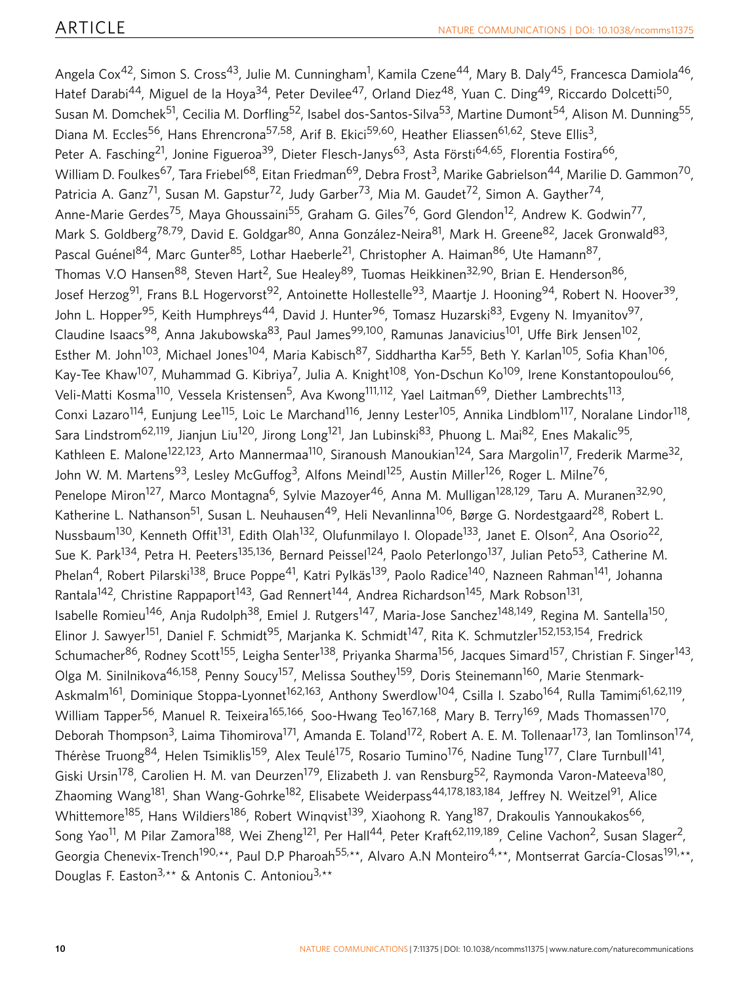Angela Cox<sup>42</sup>, Simon S. Cross<sup>43</sup>, Julie M. Cunningham<sup>1</sup>, Kamila Czene<sup>44</sup>, Mary B. Daly<sup>45</sup>, Francesca Damiola<sup>46</sup>, Hatef Darabi<sup>44</sup>, Miguel de la Hoya<sup>34</sup>, Peter Devilee<sup>47</sup>, Orland Diez<sup>48</sup>, Yuan C. Ding<sup>49</sup>, Riccardo Dolcetti<sup>50</sup>, Susan M. Domchek<sup>51</sup>, Cecilia M. Dorfling<sup>52</sup>, Isabel dos-Santos-Silva<sup>53</sup>, Martine Dumont<sup>54</sup>, Alison M. Dunning<sup>55</sup>, Diana M. Eccles<sup>56</sup>, Hans Ehrencrona<sup>57,58</sup>, Arif B. Ekici<sup>59,60</sup>, Heather Eliassen<sup>61,62</sup>, Steve Ellis<sup>3</sup>, Peter A. Fasching<sup>21</sup>, Jonine Figueroa<sup>39</sup>, Dieter Flesch-Janys<sup>63</sup>, Asta Försti<sup>64,65</sup>, Florentia Fostira<sup>66</sup>, William D. Foulkes<sup>67</sup>, Tara Friebel<sup>68</sup>, Eitan Friedman<sup>69</sup>, Debra Frost<sup>3</sup>, Marike Gabrielson<sup>44</sup>, Marilie D. Gammon<sup>70</sup>, Patricia A. Ganz<sup>71</sup>, Susan M. Gapstur<sup>72</sup>, Judy Garber<sup>73</sup>, Mia M. Gaudet<sup>72</sup>, Simon A. Gayther<sup>74</sup>, Anne-Marie Gerdes<sup>75</sup>, Maya Ghoussaini<sup>55</sup>, Graham G. Giles<sup>76</sup>, Gord Glendon<sup>12</sup>, Andrew K. Godwin<sup>77</sup>, Mark S. Goldberg<sup>78,79</sup>, David E. Goldgar<sup>80</sup>, Anna González-Neira<sup>81</sup>, Mark H. Greene<sup>82</sup>, Jacek Gronwald<sup>83</sup>, Pascal Guénel<sup>84</sup>, Marc Gunter<sup>85</sup>, Lothar Haeberle<sup>21</sup>, Christopher A. Haiman<sup>86</sup>, Ute Hamann<sup>87</sup>, Thomas V.O Hansen<sup>88</sup>, Steven Hart<sup>2</sup>, Sue Healey<sup>89</sup>, Tuomas Heikkinen<sup>32,90</sup>, Brian E. Henderson<sup>86</sup>, Josef Herzog<sup>91</sup>, Frans B.L Hogervorst<sup>92</sup>, Antoinette Hollestelle<sup>93</sup>, Maartje J. Hooning<sup>94</sup>, Robert N. Hoover<sup>39</sup>, John L. Hopper<sup>95</sup>, Keith Humphreys<sup>44</sup>, David J. Hunter<sup>96</sup>, Tomasz Huzarski<sup>83</sup>, Evgeny N. Imyanitov<sup>97</sup>, Claudine Isaacs<sup>98</sup>, Anna Jakubowska<sup>83</sup>, Paul James<sup>99,100</sup>, Ramunas Janavicius<sup>101</sup>, Uffe Birk Jensen<sup>102</sup>, Esther M. John<sup>103</sup>, Michael Jones<sup>104</sup>, Maria Kabisch<sup>87</sup>, Siddhartha Kar<sup>55</sup>, Beth Y. Karlan<sup>105</sup>, Sofia Khan<sup>106</sup>, Kay-Tee Khaw<sup>107</sup>, Muhammad G. Kibriya<sup>7</sup>, Julia A. Knight<sup>108</sup>, Yon-Dschun Ko<sup>109</sup>, Irene Konstantopoulou<sup>66</sup>, Veli-Matti Kosma<sup>110</sup>, Vessela Kristensen<sup>5</sup>, Ava Kwong<sup>111,112</sup>, Yael Laitman<sup>69</sup>, Diether Lambrechts<sup>113</sup>, Conxi Lazaro<sup>114</sup>, Eunjung Lee<sup>115</sup>, Loic Le Marchand<sup>116</sup>, Jenny Lester<sup>105</sup>, Annika Lindblom<sup>117</sup>, Noralane Lindor<sup>118</sup>, Sara Lindstrom<sup>62,119</sup>, Jianjun Liu<sup>120</sup>, Jirong Long<sup>121</sup>, Jan Lubinski<sup>83</sup>, Phuong L. Mai<sup>82</sup>, Enes Makalic<sup>95</sup>, Kathleen E. Malone<sup>122,123</sup>, Arto Mannermaa<sup>110</sup>, Siranoush Manoukian<sup>124</sup>, Sara Margolin<sup>17</sup>, Frederik Marme<sup>32</sup>, John W. M. Martens<sup>93</sup>, Lesley McGuffog<sup>3</sup>, Alfons Meindl<sup>125</sup>, Austin Miller<sup>126</sup>, Roger L. Milne<sup>76</sup>, Penelope Miron<sup>127</sup>, Marco Montagna<sup>6</sup>, Sylvie Mazoyer<sup>46</sup>, Anna M. Mulligan<sup>128,129</sup>, Taru A. Muranen<sup>32,90</sup>, Katherine L. Nathanson<sup>51</sup>, Susan L. Neuhausen<sup>49</sup>, Heli Nevanlinna<sup>106</sup>, Børge G. Nordestgaard<sup>28</sup>, Robert L. Nussbaum<sup>130</sup>, Kenneth Offit<sup>131</sup>, Edith Olah<sup>132</sup>, Olufunmilayo I. Olopade<sup>133</sup>, Janet E. Olson<sup>2</sup>, Ana Osorio<sup>22</sup>, Sue K. Park<sup>134</sup>, Petra H. Peeters<sup>135,136</sup>, Bernard Peissel<sup>124</sup>, Paolo Peterlongo<sup>137</sup>, Julian Peto<sup>53</sup>, Catherine M. Phelan<sup>4</sup>, Robert Pilarski<sup>138</sup>, Bruce Poppe<sup>41</sup>, Katri Pylkäs<sup>139</sup>, Paolo Radice<sup>140</sup>, Nazneen Rahman<sup>141</sup>, Johanna Rantala<sup>142</sup>, Christine Rappaport<sup>143</sup>, Gad Rennert<sup>144</sup>, Andrea Richardson<sup>145</sup>, Mark Robson<sup>131</sup>, Isabelle Romieu<sup>146</sup>, Anja Rudolph<sup>38</sup>, Emiel J. Rutgers<sup>147</sup>, Maria-Jose Sanchez<sup>148,149</sup>, Regina M. Santella<sup>150</sup>, Elinor J. Sawyer<sup>151</sup>, Daniel F. Schmidt<sup>95</sup>, Marjanka K. Schmidt<sup>147</sup>, Rita K. Schmutzler<sup>152,153,154</sup>, Fredrick Schumacher<sup>86</sup>, Rodney Scott<sup>155</sup>, Leigha Senter<sup>138</sup>, Priyanka Sharma<sup>156</sup>, Jacques Simard<sup>157</sup>, Christian F. Singer<sup>143</sup>, Olga M. Sinilnikova<sup>46,158</sup>, Penny Soucy<sup>157</sup>, Melissa Southey<sup>159</sup>, Doris Steinemann<sup>160</sup>, Marie Stenmark-Askmalm<sup>161</sup>, Dominique Stoppa-Lyonnet<sup>162,163</sup>, Anthony Swerdlow<sup>104</sup>, Csilla I. Szabo<sup>164</sup>, Rulla Tamimi<sup>61,62,119</sup>, William Tapper<sup>56</sup>, Manuel R. Teixeira<sup>165,166</sup>, Soo-Hwang Teo<sup>167,168</sup>, Mary B. Terry<sup>169</sup>, Mads Thomassen<sup>170</sup>, Deborah Thompson<sup>3</sup>, Laima Tihomirova<sup>171</sup>, Amanda E. Toland<sup>172</sup>, Robert A. E. M. Tollenaar<sup>173</sup>, Ian Tomlinson<sup>174</sup>, Thérèse Truong<sup>84</sup>, Helen Tsimiklis<sup>159</sup>, Alex Teulé<sup>175</sup>, Rosario Tumino<sup>176</sup>, Nadine Tung<sup>177</sup>, Clare Turnbull<sup>141</sup>, Giski Ursin<sup>178</sup>, Carolien H. M. van Deurzen<sup>179</sup>, Elizabeth J. van Rensburg<sup>52</sup>, Raymonda Varon-Mateeva<sup>180</sup>, Zhaoming Wang<sup>181</sup>, Shan Wang-Gohrke<sup>182</sup>, Elisabete Weiderpass<sup>44,178,183,184</sup>, Jeffrey N. Weitzel<sup>91</sup>, Alice Whittemore<sup>185</sup>, Hans Wildiers<sup>186</sup>, Robert Winqvist<sup>139</sup>, Xiaohong R. Yang<sup>187</sup>, Drakoulis Yannoukakos<sup>66</sup>, Song Yao<sup>11</sup>, M Pilar Zamora<sup>188</sup>, Wei Zheng<sup>121</sup>, Per Hall<sup>44</sup>, Peter Kraft<sup>62,119,189</sup>, Celine Vachon<sup>2</sup>, Susan Slager<sup>2</sup>, Georgia Chenevix-Trench<sup>190,\*\*</sup>, Paul D.P Pharoah<sup>55,\*\*</sup>, Alvaro A.N Monteiro<sup>4,\*\*</sup>, Montserrat García-Closas<sup>191,\*\*</sup>, Douglas F. Easton<sup>3,\*\*</sup> & Antonis C. Antoniou<sup>3,\*\*</sup>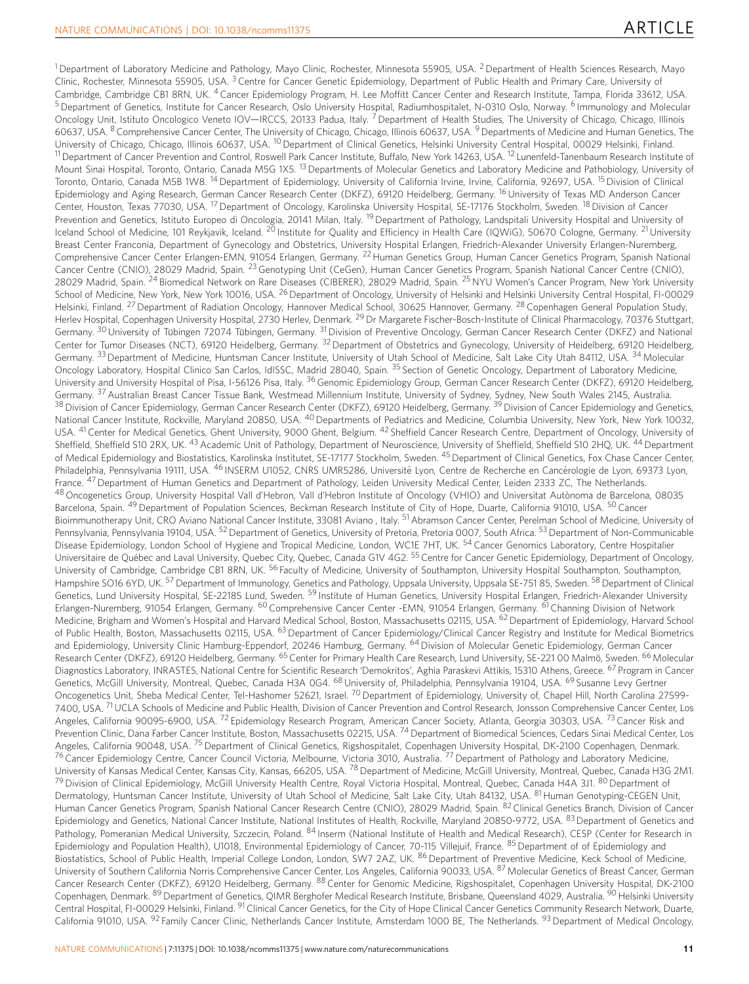<sup>1</sup> Department of Laboratory Medicine and Pathology, Mayo Clinic, Rochester, Minnesota 55905, USA. <sup>2</sup> Department of Health Sciences Research, Mayo Clinic, Rochester, Minnesota 55905, USA. <sup>3</sup> Centre for Cancer Genetic Epidemiology, Department of Public Health and Primary Care, University of Cambridge, Cambridge CB1 8RN, UK. <sup>4</sup> Cancer Epidemiology Program, H. Lee Moffitt Cancer Center and Research Institute, Tampa, Florida 33612, USA. <sup>5</sup> Department of Genetics, Institute for Cancer Research, Oslo University Hospital, Radiumhospitalet, N-0310 Oslo, Norway. <sup>6</sup> Immunology and Molecular Oncology Unit, Istituto Oncologico Veneto IOV—IRCCS, 20133 Padua, Italy. <sup>7</sup> Department of Health Studies, The University of Chicago, Chicago, Illinois 60637, USA. <sup>8</sup> Comprehensive Cancer Center, The University of Chicago, Chicago, Illinois 60637, USA. 9Departments of Medicine and Human Genetics, The University of Chicago, Chicago, Illinois 60637, USA. <sup>10</sup> Department of Clinical Genetics, Helsinki University Central Hospital, 00029 Helsinki, Finland. <sup>11</sup> Department of Cancer Prevention and Control, Roswell Park Cancer Institute, Buffalo, New York 14263, USA. <sup>12</sup> Lunenfeld-Tanenbaum Research Institute of Mount Sinai Hospital, Toronto, Ontario, Canada M5G 1X5.<sup>13</sup> Departments of Molecular Genetics and Laboratory Medicine and Pathobiology, University of Toronto, Ontario, Canada M5B 1W8. <sup>14</sup> Department of Epidemiology, University of California Irvine, Irvine, California, 92697, USA. <sup>15</sup> Division of Clinical Epidemiology and Aging Research, German Cancer Research Center (DKFZ), 69120 Heidelberg, Germany. 16University of Texas MD Anderson Cancer Center, Houston, Texas 77030, USA. 17Department of Oncology, Karolinska University Hospital, SE-17176 Stockholm, Sweden. 18Division of Cancer Prevention and Genetics, Istituto Europeo di Oncologia, 20141 Milan, Italy. <sup>19</sup> Department of Pathology, Landspitali University Hospital and University of Iceland School of Medicine, 101 Reykjavik, Iceland. <sup>20</sup> Institute for Quality and Efficiency in Health Care (IQWiG), 50670 Cologne, Germany. <sup>21</sup> University Breast Center Franconia, Department of Gynecology and Obstetrics, University Hospital Erlangen, Friedrich-Alexander University Erlangen-Nuremberg, Comprehensive Cancer Center Erlangen-EMN, 91054 Erlangen, Germany. 22Human Genetics Group, Human Cancer Genetics Program, Spanish National Cancer Centre (CNIO), 28029 Madrid, Spain. <sup>23</sup> Genotyping Unit (CeGen), Human Cancer Genetics Program, Spanish National Cancer Centre (CNIO), 28029 Madrid, Spain. <sup>24</sup> Biomedical Network on Rare Diseases (CIBERER), 28029 Madrid, Spain. 25NYU Women's Cancer Program, New York University School of Medicine, New York, New York 10016, USA. <sup>26</sup> Department of Oncology, University of Helsinki and Helsinki University Central Hospital, FI-00029 Helsinki, Finland. <sup>27</sup> Department of Radiation Oncology, Hannover Medical School, 30625 Hannover, Germany. <sup>28</sup> Copenhagen General Population Study, Herlev Hospital, Copenhagen University Hospital, 2730 Herlev, Denmark. <sup>29</sup> Dr Margarete Fischer-Bosch-Institute of Clinical Pharmacology, 70376 Stuttgart, Germany. <sup>30</sup> University of Tübingen 72074 Tübingen, Germany. <sup>31</sup> Division of Preventive Oncology, German Cancer Research Center (DKFZ) and National Center for Tumor Diseases (NCT), 69120 Heidelberg, Germany. 32Department of Obstetrics and Gynecology, University of Heidelberg, 69120 Heidelberg, Germany. <sup>33</sup> Department of Medicine, Huntsman Cancer Institute, University of Utah School of Medicine, Salt Lake City Utah 84112, USA. <sup>34</sup> Molecular Oncology Laboratory, Hospital Clinico San Carlos, IdISSC, Madrid 28040, Spain. <sup>35</sup> Section of Genetic Oncology, Department of Laboratory Medicine, University and University Hospital of Pisa, I-56126 Pisa, Italy. <sup>36</sup> Genomic Epidemiology Group, German Cancer Research Center (DKFZ), 69120 Heidelberg, Germany. <sup>37</sup> Australian Breast Cancer Tissue Bank, Westmead Millennium Institute, University of Sydney, Sydney, New South Wales 2145, Australia.  $^{38}$ Division of Cancer Epidemiology, German Cancer Research Center (DKFZ), 69120 Heidelberg, Germany.  $^{39}$ Division of Cancer Epidemiology and Genetics, National Cancer Institute, Rockville, Maryland 20850, USA. <sup>40</sup> Departments of Pediatrics and Medicine, Columbia University, New York, New York 10032, USA. <sup>41</sup> Center for Medical Genetics, Ghent University, 9000 Ghent, Belgium. <sup>42</sup> Sheffield Cancer Research Centre, Department of Oncology, University of Sheffield, Sheffield S10 2RX, UK. <sup>43</sup> Academic Unit of Pathology, Department of Neuroscience, University of Sheffield, Sheffield S10 2HQ, UK. <sup>44</sup> Department of Medical Epidemiology and Biostatistics, Karolinska Institutet, SE-17177 Stockholm, Sweden. 45Department of Clinical Genetics, Fox Chase Cancer Center, Philadelphia, Pennsylvania 19111, USA. <sup>46</sup> INSERM U1052, CNRS UMR5286, Université Lyon, Centre de Recherche en Cancérologie de Lyon, 69373 Lyon, France. <sup>47</sup> Department of Human Genetics and Department of Pathology, Leiden University Medical Center, Leiden 2333 ZC, The Netherlands. 48 Oncogenetics Group, University Hospital Vall d'Hebron, Vall d'Hebron Institute of Oncology (VHIO) and Universitat Autònoma de Barcelona, 08035 Barcelona, Spain. <sup>49</sup> Department of Population Sciences, Beckman Research Institute of City of Hope, Duarte, California 91010, USA. <sup>50</sup> Cancer Bioimmunotherapy Unit, CRO Aviano National Cancer Institute, 33081 Aviano, Italy. <sup>51</sup> Abramson Cancer Center, Perelman School of Medicine, University of Pennsylvania, Pennsylvania 19104, USA. <sup>52</sup> Department of Genetics, University of Pretoria, Pretoria 0007, South Africa. <sup>53</sup> Department of Non-Communicable Disease Epidemiology, London School of Hygiene and Tropical Medicine, London, WC1E 7HT, UK. <sup>54</sup> Cancer Genomics Laboratory, Centre Hospitalier Universitaire de Québec and Laval University, Quebec City, Quebec, Canada G1V 4G2. <sup>55</sup> Centre for Cancer Genetic Epidemiology, Department of Oncology, University of Cambridge, Cambridge CB1 8RN, UK. <sup>56</sup> Faculty of Medicine, University of Southampton, University Hospital Southampton, Southampton, Hampshire SO16 6YD, UK.<sup>57</sup> Department of Immunology, Genetics and Pathology, Uppsala University, Uppsala SE-751 85, Sweden. <sup>58</sup> Department of Clinical Genetics, Lund University Hospital, SE-22185 Lund, Sweden. <sup>59</sup> Institute of Human Genetics, University Hospital Erlangen, Friedrich-Alexander University Erlangen-Nuremberg, 91054 Erlangen, Germany. <sup>60</sup> Comprehensive Cancer Center -EMN, 91054 Erlangen, Germany. <sup>61</sup> Channing Division of Network Medicine, Brigham and Women's Hospital and Harvard Medical School, Boston, Massachusetts 02115, USA. <sup>62</sup> Department of Epidemiology, Harvard School of Public Health, Boston, Massachusetts 02115, USA. 63Department of Cancer Epidemiology/Clinical Cancer Registry and Institute for Medical Biometrics and Epidemiology, University Clinic Hamburg-Eppendorf, 20246 Hamburg, Germany. <sup>64</sup> Division of Molecular Genetic Epidemiology, German Cancer Research Center (DKFZ), 69120 Heidelberg, Germany. <sup>65</sup> Center for Primary Health Care Research, Lund University, SE-221 00 Malmö, Sweden. <sup>66</sup> Molecular Diagnostics Laboratory, INRASTES, National Centre for Scientific Research 'Demokritos', Aghia Paraskevi Attikis, 15310 Athens, Greece. <sup>67</sup> Program in Cancer Genetics, McGill University, Montreal, Quebec, Canada H3A 0G4. <sup>68</sup> University of, Philadelphia, Pennsylvania 19104, USA. <sup>69</sup> Susanne Levy Gertner Oncogenetics Unit, Sheba Medical Center, Tel-Hashomer 52621, Israel. <sup>70</sup> Department of Epidemiology, University of, Chapel Hill, North Carolina 27599-7400, USA. <sup>71</sup> UCLA Schools of Medicine and Public Health, Division of Cancer Prevention and Control Research, Jonsson Comprehensive Cancer Center, Los Angeles, California 90095-6900, USA.<sup>72</sup> Epidemiology Research Program, American Cancer Society, Atlanta, Georgia 30303, USA. <sup>73</sup> Cancer Risk and Prevention Clinic, Dana Farber Cancer Institute, Boston, Massachusetts 02215, USA. <sup>74</sup> Department of Biomedical Sciences, Cedars Sinai Medical Center, Los Angeles, California 90048, USA. <sup>75</sup> Department of Clinical Genetics, Rigshospitalet, Copenhagen University Hospital, DK-2100 Copenhagen, Denmark. <sup>76</sup> Cancer Epidemiology Centre, Cancer Council Victoria, Melbourne, Victoria 3010, Australia.<sup>77</sup> Department of Pathology and Laboratory Medicine, University of Kansas Medical Center, Kansas City, Kansas, 66205, USA. <sup>78</sup> Department of Medicine, McGill University, Montreal, Quebec, Canada H3G 2M1. 79 Division of Clinical Epidemiology, McGill University Health Centre, Royal Victoria Hospital, Montreal, Quebec, Canada H4A 3J1. 80 Department of Dermatology, Huntsman Cancer Institute, University of Utah School of Medicine, Salt Lake City, Utah 84132, USA. 81 Human Genotyping-CEGEN Unit, Human Cancer Genetics Program, Spanish National Cancer Research Centre (CNIO), 28029 Madrid, Spain. 82 Clinical Genetics Branch, Division of Cancer Epidemiology and Genetics, National Cancer Institute, National Institutes of Health, Rockville, Maryland 20850-9772, USA. 83 Department of Genetics and Pathology, Pomeranian Medical University, Szczecin, Poland. 84 Inserm (National Institute of Health and Medical Research), CESP (Center for Research in Epidemiology and Population Health), U1018, Environmental Epidemiology of Cancer, 70-115 Villejuif, France. 85 Department of of Epidemiology and Biostatistics, School of Public Health, Imperial College London, London, SW7 2AZ, UK. 86 Department of Preventive Medicine, Keck School of Medicine, University of Southern California Norris Comprehensive Cancer Center, Los Angeles, California 90033, USA. <sup>87</sup> Molecular Genetics of Breast Cancer, German Cancer Research Center (DKFZ), 69120 Heidelberg, Germany. <sup>88</sup> Center for Genomic Medicine, Rigshospitalet, Copenhagen University Hospital, DK-2100 Copenhagen, Denmark. 89 Department of Genetics, QIMR Berghofer Medical Research Institute, Brisbane, Queensland 4029, Australia. 90 Helsinki University Central Hospital, FI-00029 Helsinki, Finland. <sup>91</sup> Clinical Cancer Genetics, for the City of Hope Clinical Cancer Genetics Community Research Network, Duarte, California 91010, USA. <sup>92</sup> Family Cancer Clinic, Netherlands Cancer Institute, Amsterdam 1000 BE, The Netherlands. <sup>93</sup> Department of Medical Oncology,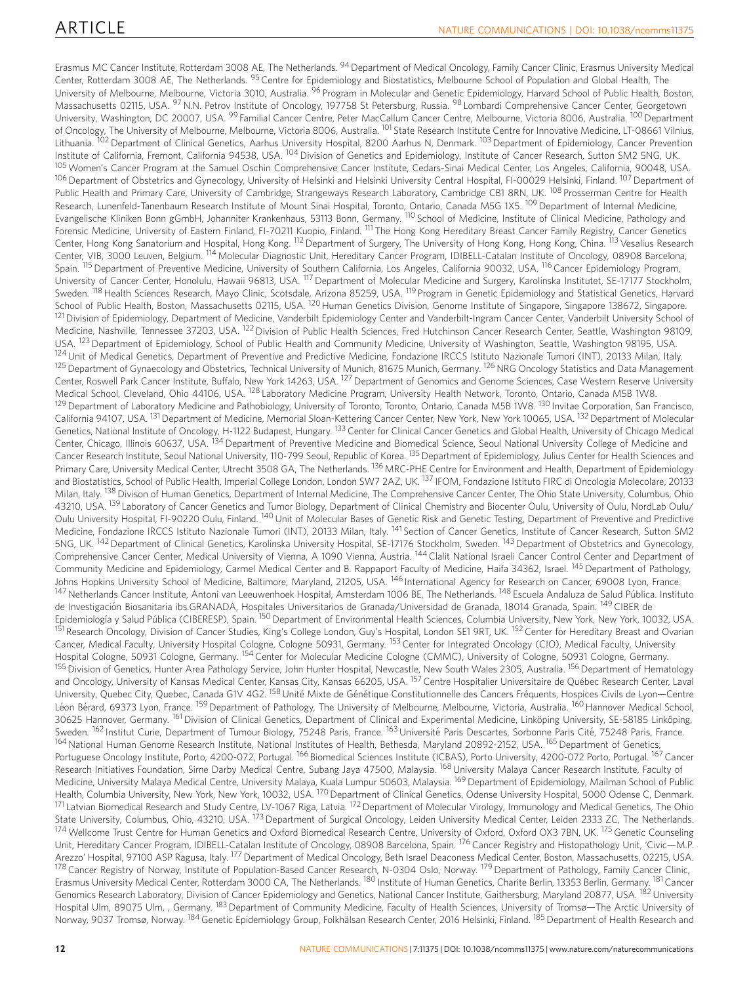Erasmus MC Cancer Institute, Rotterdam 3008 AE, The Netherlands. <sup>94</sup> Department of Medical Oncology, Family Cancer Clinic, Erasmus University Medical Center, Rotterdam 3008 AE, The Netherlands. <sup>95</sup> Centre for Epidemiology and Biostatistics, Melbourne School of Population and Global Health, The University of Melbourne, Melbourne, Victoria 3010, Australia. <sup>96</sup> Program in Molecular and Genetic Epidemiology, Harvard School of Public Health, Boston, Massachusetts 02115, USA. <sup>97</sup>N.N. Petrov Institute of Oncology, 197758 St Petersburg, Russia. <sup>98</sup> Lombardi Comprehensive Cancer Center, Georgetown University, Washington, DC 20007, USA. <sup>99</sup> Familial Cancer Centre, Peter MacCallum Cancer Centre, Melbourne, Victoria 8006, Australia. <sup>100</sup> Department of Oncology, The University of Melbourne, Melbourne, Victoria 8006, Australia. <sup>101</sup> State Research Institute Centre for Innovative Medicine, LT-08661 Vilnius, Lithuania. <sup>102</sup> Department of Clinical Genetics, Aarhus University Hospital, 8200 Aarhus N, Denmark. <sup>103</sup> Department of Epidemiology, Cancer Prevention Institute of California, Fremont, California 94538, USA. <sup>104</sup> Division of Genetics and Epidemiology, Institute of Cancer Research, Sutton SM2 5NG, UK. 105 Women's Cancer Program at the Samuel Oschin Comprehensive Cancer Institute, Cedars-Sinai Medical Center, Los Angeles, California, 90048, USA. <sup>106</sup> Department of Obstetrics and Gynecology, University of Helsinki and Helsinki University Central Hospital, FI-00029 Helsinki, Finland. <sup>107</sup> Department of Public Health and Primary Care, University of Cambridge, Strangeways Research Laboratory, Cambridge CB1 8RN, UK. <sup>108</sup> Prosserman Centre for Health Research, Lunenfeld-Tanenbaum Research Institute of Mount Sinai Hospital, Toronto, Ontario, Canada M5G 1X5. <sup>109</sup> Department of Internal Medicine, Evangelische Kliniken Bonn gGmbH, Johanniter Krankenhaus, 53113 Bonn, Germany. <sup>110</sup> School of Medicine, Institute of Clinical Medicine, Pathology and Forensic Medicine, University of Eastern Finland, FI-70211 Kuopio, Finland. <sup>111</sup> The Hong Kong Hereditary Breast Cancer Family Registry, Cancer Genetics Center, Hong Kong Sanatorium and Hospital, Hong Kong. <sup>112</sup> Department of Surgery, The University of Hong Kong, Hong Kong, China. <sup>113</sup> Vesalius Research Center, VIB, 3000 Leuven, Belgium. <sup>114</sup> Molecular Diagnostic Unit, Hereditary Cancer Program, IDIBELL-Catalan Institute of Oncology, 08908 Barcelona, Spain. <sup>115</sup> Department of Preventive Medicine, University of Southern California, Los Angeles, California 90032, USA. <sup>116</sup> Cancer Epidemiology Program, University of Cancer Center, Honolulu, Hawaii 96813, USA. 117Department of Molecular Medicine and Surgery, Karolinska Institutet, SE-17177 Stockholm, Sweden. <sup>118</sup> Health Sciences Research, Mayo Clinic, Scotsdale, Arizona 85259, USA. <sup>119</sup> Program in Genetic Epidemiology and Statistical Genetics, Harvard School of Public Health, Boston, Massachusetts 02115, USA. <sup>120</sup>Human Genetics Division, Genome Institute of Singapore, Singapore 138672, Singapore <sup>121</sup> Division of Epidemiology, Department of Medicine, Vanderbilt Epidemiology Center and Vanderbilt-Ingram Cancer Center, Vanderbilt University School of Medicine, Nashville, Tennessee 37203, USA. 122Division of Public Health Sciences, Fred Hutchinson Cancer Research Center, Seattle, Washington 98109, USA. <sup>123</sup> Department of Epidemiology, School of Public Health and Community Medicine, University of Washington, Seattle, Washington 98195, USA. <sup>124</sup> Unit of Medical Genetics, Department of Preventive and Predictive Medicine, Fondazione IRCCS Istituto Nazionale Tumori (INT), 20133 Milan, Italy. <sup>125</sup> Department of Gynaecology and Obstetrics, Technical University of Munich, 81675 Munich, Germany. <sup>126</sup> NRG Oncology Statistics and Data Management Center, Roswell Park Cancer Institute, Buffalo, New York 14263, USA. <sup>127</sup> Department of Genomics and Genome Sciences, Case Western Reserve University Medical School, Cleveland, Ohio 44106, USA. <sup>128</sup> Laboratory Medicine Program, University Health Network, Toronto, Ontario, Canada M5B 1W8. 129 Department of Laboratory Medicine and Pathobiology, University of Toronto, Toronto, Ontario, Canada M5B 1W8. <sup>130</sup> Invitae Corporation, San Francisco, California 94107, USA. <sup>131</sup> Department of Medicine, Memorial Sloan-Kettering Cancer Center, New York, New York 10065, USA. <sup>132</sup> Department of Molecular Genetics, National Institute of Oncology, H-1122 Budapest, Hungary. <sup>133</sup> Center for Clinical Cancer Genetics and Global Health, University of Chicago Medical Center, Chicago, Illinois 60637, USA. 134 Department of Preventive Medicine and Biomedical Science, Seoul National University College of Medicine and Cancer Research Institute, Seoul National University, 110-799 Seoul, Republic of Korea. <sup>135</sup> Department of Epidemiology, Julius Center for Health Sciences and Primary Care, University Medical Center, Utrecht 3508 GA, The Netherlands. <sup>136</sup> MRC-PHE Centre for Environment and Health, Department of Epidemiology and Biostatistics, School of Public Health, Imperial College London, London SW7 2AZ, UK. <sup>137</sup> IFOM, Fondazione Istituto FIRC di Oncologia Molecolare, 20133 Milan, Italy. <sup>138</sup> Divison of Human Genetics, Department of Internal Medicine, The Comprehensive Cancer Center, The Ohio State University, Columbus, Ohio 43210. USA. <sup>139</sup> Laboratory of Cancer Genetics and Tumor Biology, Department of Clinical Chemistry and Biocenter Oulu, University of Oulu, NordLab Oulu/ Oulu University Hospital, FI-90220 Oulu, Finland. <sup>140</sup> Unit of Molecular Bases of Genetic Risk and Genetic Testing, Department of Preventive and Predictive Medicine, Fondazione IRCCS Istituto Nazionale Tumori (INT), 20133 Milan, Italy. <sup>141</sup> Section of Cancer Genetics, Institute of Cancer Research, Sutton SM2 5NG, UK. 142Department of Clinical Genetics, Karolinska University Hospital, SE-17176 Stockholm, Sweden. 143Department of Obstetrics and Gynecology, Comprehensive Cancer Center, Medical University of Vienna, A 1090 Vienna, Austria. <sup>144</sup> Clalit National Israeli Cancer Control Center and Department of Community Medicine and Epidemiology, Carmel Medical Center and B. Rappaport Faculty of Medicine, Haifa 34362, Israel. <sup>145</sup> Department of Pathology, Johns Hopkins University School of Medicine, Baltimore, Maryland, 21205, USA. <sup>146</sup> International Agency for Research on Cancer, 69008 Lyon, France. <sup>147</sup> Netherlands Cancer Institute, Antoni van Leeuwenhoek Hospital, Amsterdam 1006 BE, The Netherlands. <sup>148</sup> Escuela Andaluza de Salud Pública. Instituto de Investigación Biosanitaria ibs.GRANADA, Hospitales Universitarios de Granada/Universidad de Granada, 18014 Granada, Spain. <sup>149</sup> CIBER de Epidemiología y Salud Pública (CIBERESP), Spain. <sup>150</sup> Department of Environmental Health Sciences, Columbia University, New York, New York, 10032, USA. 1<br>Thesearch Oncology, Division of Cancer Studies, King's College London, Guy's Hospital, London SE1 9RT, UK. <sup>152</sup> Center for Hereditary Breast and Ovarian Cancer, Medical Faculty, University Hospital Cologne, Cologne 50931, Germany. <sup>153</sup> Center for Integrated Oncology (CIO), Medical Faculty, University Hospital Cologne, 50931 Cologne, Germany. <sup>154</sup> Center for Molecular Medicine Cologne (CMMC), University of Cologne, 50931 Cologne, Germany. 155 Division of Genetics, Hunter Area Pathology Service, John Hunter Hospital, Newcastle, New South Wales 2305, Australia. <sup>156</sup> Department of Hematology and Oncology, University of Kansas Medical Center, Kansas City, Kansas 66205, USA. <sup>157</sup> Centre Hospitalier Universitaire de Québec Research Center, Laval University, Quebec City, Quebec, Canada G1V 4G2. <sup>158</sup> Unité Mixte de Génétique Constitutionnelle des Cancers Fréquents, Hospices Civils de Lyon—Centre Léon Bérard, 69373 Lyon, France. <sup>159</sup> Department of Pathology, The University of Melbourne, Melbourne, Victoria, Australia. <sup>160</sup> Hannover Medical School, 30625 Hannover, Germany. <sup>161</sup> Division of Clinical Genetics, Department of Clinical and Experimental Medicine, Linköping University, SE-58185 Linköping, Sweden. <sup>162</sup> Institut Curie, Department of Tumour Biology, 75248 Paris, France. <sup>163</sup> Université Paris Descartes, Sorbonne Paris Cité, 75248 Paris, France. 164 National Human Genome Research Institute, National Institutes of Health, Bethesda, Maryland 20892-2152, USA. <sup>165</sup> Department of Genetics, Portuguese Oncology Institute, Porto, 4200-072, Portugal. <sup>166</sup> Biomedical Sciences Institute (ICBAS), Porto University, 4200-072 Porto, Portugal. <sup>167</sup> Cancer Research Initiatives Foundation, Sime Darby Medical Centre, Subang Jaya 47500, Malaysia. <sup>168</sup> University Malaya Cancer Research Institute, Faculty of Medicine, University Malaya Medical Centre, University Malaya, Kuala Lumpur 50603, Malaysia. <sup>169</sup> Department of Epidemiology, Mailman School of Public Health, Columbia University, New York, New York, 10032, USA. <sup>170</sup> Department of Clinical Genetics, Odense University Hospital, 5000 Odense C, Denmark. <sup>171</sup> Latvian Biomedical Research and Study Centre, LV-1067 Riga, Latvia. 172Department of Molecular Virology, Immunology and Medical Genetics, The Ohio State University, Columbus, Ohio, 43210, USA. <sup>173</sup> Department of Surgical Oncology, Leiden University Medical Center, Leiden 2333 ZC, The Netherlands. <sup>174</sup> Wellcome Trust Centre for Human Genetics and Oxford Biomedical Research Centre, University of Oxford, Oxford OX3 7BN, UK. <sup>175</sup> Genetic Counseling Unit, Hereditary Cancer Program, IDIBELL-Catalan Institute of Oncology, 08908 Barcelona, Spain. <sup>176</sup> Cancer Registry and Histopathology Unit, 'Civic—M.P. Arezzo' Hospital, 97100 ASP Ragusa, Italy. <sup>177</sup> Department of Medical Oncology, Beth Israel Deaconess Medical Center, Boston, Massachusetts, 02215, USA. 178 Cancer Registry of Norway, Institute of Population-Based Cancer Research, N-0304 Oslo, Norway. <sup>179</sup> Department of Pathology, Family Cancer Clinic, Erasmus University Medical Center, Rotterdam 3000 CA, The Netherlands. <sup>180</sup> Institute of Human Genetics, Charite Berlin, 13353 Berlin, Germany. <sup>181</sup> Cancer Genomics Research Laboratory, Division of Cancer Epidemiology and Genetics, National Cancer Institute, Gaithersburg, Maryland 20877, USA. <sup>182</sup> University Hospital Ulm, 89075 Ulm, , Germany. <sup>183</sup> Department of Community Medicine, Faculty of Health Sciences, University of Tromsø—The Arctic University of Norway, 9037 Tromsø, Norway. <sup>184</sup> Genetic Epidemiology Group, Folkhälsan Research Center, 2016 Helsinki, Finland. <sup>185</sup> Department of Health Research and